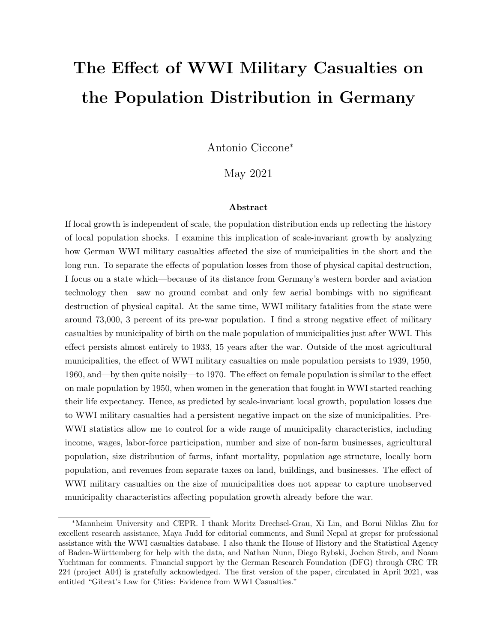# The Effect of WWI Military Casualties on the Population Distribution in Germany

Antonio Ciccone<sup>∗</sup>

May 2021

#### Abstract

If local growth is independent of scale, the population distribution ends up reflecting the history of local population shocks. I examine this implication of scale-invariant growth by analyzing how German WWI military casualties affected the size of municipalities in the short and the long run. To separate the effects of population losses from those of physical capital destruction, I focus on a state which—because of its distance from Germany's western border and aviation technology then—saw no ground combat and only few aerial bombings with no significant destruction of physical capital. At the same time, WWI military fatalities from the state were around 73,000, 3 percent of its pre-war population. I find a strong negative effect of military casualties by municipality of birth on the male population of municipalities just after WWI. This effect persists almost entirely to 1933, 15 years after the war. Outside of the most agricultural municipalities, the effect of WWI military casualties on male population persists to 1939, 1950, 1960, and—by then quite noisily—to 1970. The effect on female population is similar to the effect on male population by 1950, when women in the generation that fought in WWI started reaching their life expectancy. Hence, as predicted by scale-invariant local growth, population losses due to WWI military casualties had a persistent negative impact on the size of municipalities. Pre-WWI statistics allow me to control for a wide range of municipality characteristics, including income, wages, labor-force participation, number and size of non-farm businesses, agricultural population, size distribution of farms, infant mortality, population age structure, locally born population, and revenues from separate taxes on land, buildings, and businesses. The effect of WWI military casualties on the size of municipalities does not appear to capture unobserved municipality characteristics affecting population growth already before the war.

<sup>∗</sup>Mannheim University and CEPR. I thank Moritz Drechsel-Grau, Xi Lin, and Borui Niklas Zhu for excellent research assistance, Maya Judd for editorial comments, and Sunil Nepal at grepsr for professional assistance with the WWI casualties database. I also thank the House of History and the Statistical Agency of Baden-W¨urttemberg for help with the data, and Nathan Nunn, Diego Rybski, Jochen Streb, and Noam Yuchtman for comments. Financial support by the German Research Foundation (DFG) through CRC TR 224 (project A04) is gratefully acknowledged. The first version of the paper, circulated in April 2021, was entitled "Gibrat's Law for Cities: Evidence from WWI Casualties."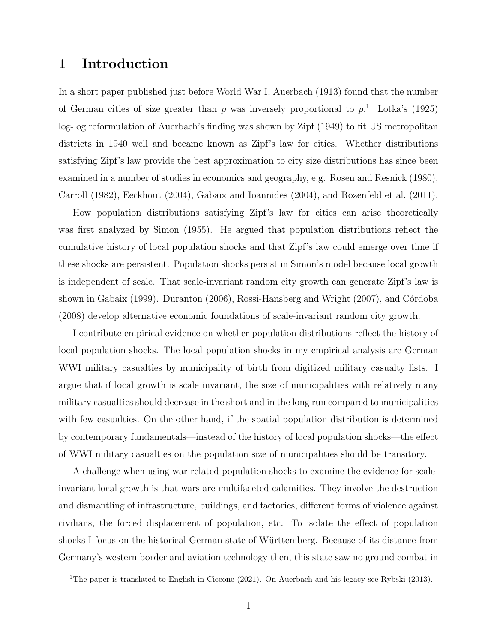# 1 Introduction

In a short paper published just before World War I, Auerbach (1913) found that the number of German cities of size greater than p was inversely proportional to  $p<sup>1</sup>$  Lotka's (1925) log-log reformulation of Auerbach's finding was shown by Zipf (1949) to fit US metropolitan districts in 1940 well and became known as Zipf's law for cities. Whether distributions satisfying Zipf's law provide the best approximation to city size distributions has since been examined in a number of studies in economics and geography, e.g. Rosen and Resnick (1980), Carroll (1982), Eeckhout (2004), Gabaix and Ioannides (2004), and Rozenfeld et al. (2011).

How population distributions satisfying Zipf's law for cities can arise theoretically was first analyzed by Simon (1955). He argued that population distributions reflect the cumulative history of local population shocks and that Zipf's law could emerge over time if these shocks are persistent. Population shocks persist in Simon's model because local growth is independent of scale. That scale-invariant random city growth can generate Zipf's law is shown in Gabaix (1999). Duranton (2006), Rossi-Hansberg and Wright (2007), and Córdoba (2008) develop alternative economic foundations of scale-invariant random city growth.

I contribute empirical evidence on whether population distributions reflect the history of local population shocks. The local population shocks in my empirical analysis are German WWI military casualties by municipality of birth from digitized military casualty lists. I argue that if local growth is scale invariant, the size of municipalities with relatively many military casualties should decrease in the short and in the long run compared to municipalities with few casualties. On the other hand, if the spatial population distribution is determined by contemporary fundamentals—instead of the history of local population shocks—the effect of WWI military casualties on the population size of municipalities should be transitory.

A challenge when using war-related population shocks to examine the evidence for scaleinvariant local growth is that wars are multifaceted calamities. They involve the destruction and dismantling of infrastructure, buildings, and factories, different forms of violence against civilians, the forced displacement of population, etc. To isolate the effect of population shocks I focus on the historical German state of Württemberg. Because of its distance from Germany's western border and aviation technology then, this state saw no ground combat in

<sup>&</sup>lt;sup>1</sup>The paper is translated to English in Ciccone (2021). On Auerbach and his legacy see Rybski (2013).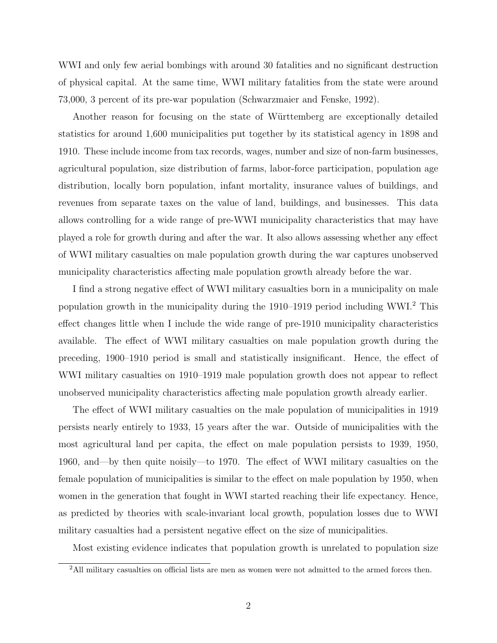WWI and only few aerial bombings with around 30 fatalities and no significant destruction of physical capital. At the same time, WWI military fatalities from the state were around 73,000, 3 percent of its pre-war population (Schwarzmaier and Fenske, 1992).

Another reason for focusing on the state of Württemberg are exceptionally detailed statistics for around 1,600 municipalities put together by its statistical agency in 1898 and 1910. These include income from tax records, wages, number and size of non-farm businesses, agricultural population, size distribution of farms, labor-force participation, population age distribution, locally born population, infant mortality, insurance values of buildings, and revenues from separate taxes on the value of land, buildings, and businesses. This data allows controlling for a wide range of pre-WWI municipality characteristics that may have played a role for growth during and after the war. It also allows assessing whether any effect of WWI military casualties on male population growth during the war captures unobserved municipality characteristics affecting male population growth already before the war.

I find a strong negative effect of WWI military casualties born in a municipality on male population growth in the municipality during the 1910–1919 period including WWI.<sup>2</sup> This effect changes little when I include the wide range of pre-1910 municipality characteristics available. The effect of WWI military casualties on male population growth during the preceding, 1900–1910 period is small and statistically insignificant. Hence, the effect of WWI military casualties on 1910–1919 male population growth does not appear to reflect unobserved municipality characteristics affecting male population growth already earlier.

The effect of WWI military casualties on the male population of municipalities in 1919 persists nearly entirely to 1933, 15 years after the war. Outside of municipalities with the most agricultural land per capita, the effect on male population persists to 1939, 1950, 1960, and—by then quite noisily—to 1970. The effect of WWI military casualties on the female population of municipalities is similar to the effect on male population by 1950, when women in the generation that fought in WWI started reaching their life expectancy. Hence, as predicted by theories with scale-invariant local growth, population losses due to WWI military casualties had a persistent negative effect on the size of municipalities.

Most existing evidence indicates that population growth is unrelated to population size

<sup>&</sup>lt;sup>2</sup>All military casualties on official lists are men as women were not admitted to the armed forces then.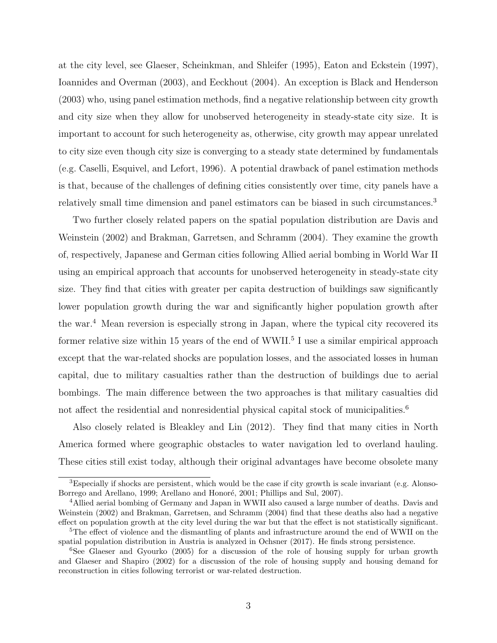at the city level, see Glaeser, Scheinkman, and Shleifer (1995), Eaton and Eckstein (1997), Ioannides and Overman (2003), and Eeckhout (2004). An exception is Black and Henderson (2003) who, using panel estimation methods, find a negative relationship between city growth and city size when they allow for unobserved heterogeneity in steady-state city size. It is important to account for such heterogeneity as, otherwise, city growth may appear unrelated to city size even though city size is converging to a steady state determined by fundamentals (e.g. Caselli, Esquivel, and Lefort, 1996). A potential drawback of panel estimation methods is that, because of the challenges of defining cities consistently over time, city panels have a relatively small time dimension and panel estimators can be biased in such circumstances.<sup>3</sup>

Two further closely related papers on the spatial population distribution are Davis and Weinstein (2002) and Brakman, Garretsen, and Schramm (2004). They examine the growth of, respectively, Japanese and German cities following Allied aerial bombing in World War II using an empirical approach that accounts for unobserved heterogeneity in steady-state city size. They find that cities with greater per capita destruction of buildings saw significantly lower population growth during the war and significantly higher population growth after the war.<sup>4</sup> Mean reversion is especially strong in Japan, where the typical city recovered its former relative size within 15 years of the end of WWII.<sup>5</sup> I use a similar empirical approach except that the war-related shocks are population losses, and the associated losses in human capital, due to military casualties rather than the destruction of buildings due to aerial bombings. The main difference between the two approaches is that military casualties did not affect the residential and nonresidential physical capital stock of municipalities.<sup>6</sup>

Also closely related is Bleakley and Lin (2012). They find that many cities in North America formed where geographic obstacles to water navigation led to overland hauling. These cities still exist today, although their original advantages have become obsolete many

<sup>3</sup>Especially if shocks are persistent, which would be the case if city growth is scale invariant (e.g. Alonso-Borrego and Arellano, 1999; Arellano and Honoré, 2001; Phillips and Sul, 2007).

<sup>&</sup>lt;sup>4</sup> Allied aerial bombing of Germany and Japan in WWII also caused a large number of deaths. Davis and Weinstein (2002) and Brakman, Garretsen, and Schramm (2004) find that these deaths also had a negative effect on population growth at the city level during the war but that the effect is not statistically significant.

<sup>&</sup>lt;sup>5</sup>The effect of violence and the dismantling of plants and infrastructure around the end of WWII on the spatial population distribution in Austria is analyzed in Ochsner (2017). He finds strong persistence.

<sup>&</sup>lt;sup>6</sup>See Glaeser and Gyourko (2005) for a discussion of the role of housing supply for urban growth and Glaeser and Shapiro (2002) for a discussion of the role of housing supply and housing demand for reconstruction in cities following terrorist or war-related destruction.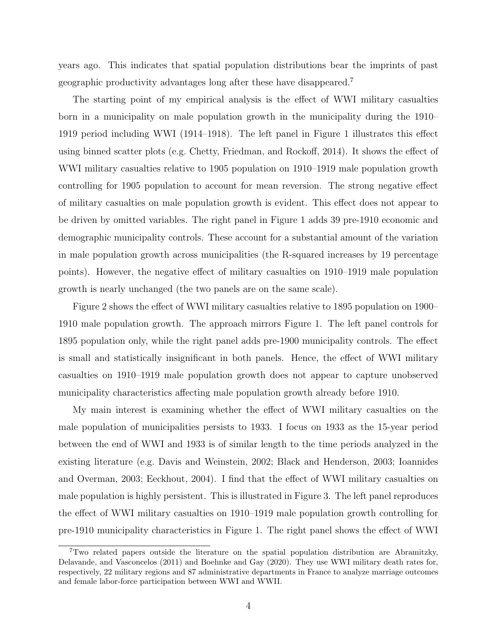years ago. This indicates that spatial population distributions bear the imprints of past geographic productivity advantages long after these have disappeared.<sup>7</sup>

The starting point of my empirical analysis is the effect of WWI military casualties born in a municipality on male population growth in the municipality during the 1910– 1919 period including WWI (1914–1918). The left panel in Figure 1 illustrates this effect using binned scatter plots (e.g. Chetty, Friedman, and Rockoff, 2014). It shows the effect of WWI military casualties relative to 1905 population on 1910–1919 male population growth controlling for 1905 population to account for mean reversion. The strong negative effect of military casualties on male population growth is evident. This effect does not appear to be driven by omitted variables. The right panel in Figure 1 adds 39 pre-1910 economic and demographic municipality controls. These account for a substantial amount of the variation in male population growth across municipalities (the R-squared increases by 19 percentage points). However, the negative effect of military casualties on 1910–1919 male population growth is nearly unchanged (the two panels are on the same scale).

Figure 2 shows the effect of WWI military casualties relative to 1895 population on 1900– 1910 male population growth. The approach mirrors Figure 1. The left panel controls for 1895 population only, while the right panel adds pre-1900 municipality controls. The effect is small and statistically insignificant in both panels. Hence, the effect of WWI military casualties on 1910–1919 male population growth does not appear to capture unobserved municipality characteristics affecting male population growth already before 1910.

My main interest is examining whether the effect of WWI military casualties on the male population of municipalities persists to 1933. I focus on 1933 as the 15-year period between the end of WWI and 1933 is of similar length to the time periods analyzed in the existing literature (e.g. Davis and Weinstein, 2002; Black and Henderson, 2003; Ioannides and Overman, 2003; Eeckhout, 2004). I find that the effect of WWI military casualties on male population is highly persistent. This is illustrated in Figure 3. The left panel reproduces the effect of WWI military casualties on 1910–1919 male population growth controlling for pre-1910 municipality characteristics in Figure 1. The right panel shows the effect of WWI

<sup>7</sup>Two related papers outside the literature on the spatial population distribution are Abramitzky, Delavande, and Vasconcelos (2011) and Boehnke and Gay (2020). They use WWI military death rates for, respectively, 22 military regions and 87 administrative departments in France to analyze marriage outcomes and female labor-force participation between WWI and WWII.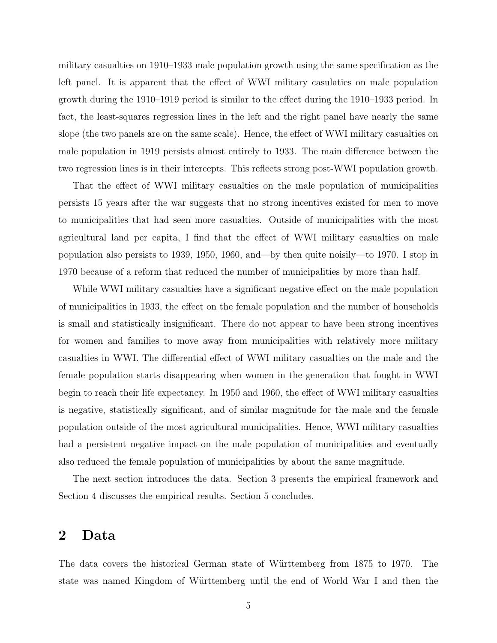military casualties on 1910–1933 male population growth using the same specification as the left panel. It is apparent that the effect of WWI military casulaties on male population growth during the 1910–1919 period is similar to the effect during the 1910–1933 period. In fact, the least-squares regression lines in the left and the right panel have nearly the same slope (the two panels are on the same scale). Hence, the effect of WWI military casualties on male population in 1919 persists almost entirely to 1933. The main difference between the two regression lines is in their intercepts. This reflects strong post-WWI population growth.

That the effect of WWI military casualties on the male population of municipalities persists 15 years after the war suggests that no strong incentives existed for men to move to municipalities that had seen more casualties. Outside of municipalities with the most agricultural land per capita, I find that the effect of WWI military casualties on male population also persists to 1939, 1950, 1960, and—by then quite noisily—to 1970. I stop in 1970 because of a reform that reduced the number of municipalities by more than half.

While WWI military casualties have a significant negative effect on the male population of municipalities in 1933, the effect on the female population and the number of households is small and statistically insignificant. There do not appear to have been strong incentives for women and families to move away from municipalities with relatively more military casualties in WWI. The differential effect of WWI military casualties on the male and the female population starts disappearing when women in the generation that fought in WWI begin to reach their life expectancy. In 1950 and 1960, the effect of WWI military casualties is negative, statistically significant, and of similar magnitude for the male and the female population outside of the most agricultural municipalities. Hence, WWI military casualties had a persistent negative impact on the male population of municipalities and eventually also reduced the female population of municipalities by about the same magnitude.

The next section introduces the data. Section 3 presents the empirical framework and Section 4 discusses the empirical results. Section 5 concludes.

# 2 Data

The data covers the historical German state of Württemberg from 1875 to 1970. The state was named Kingdom of Württemberg until the end of World War I and then the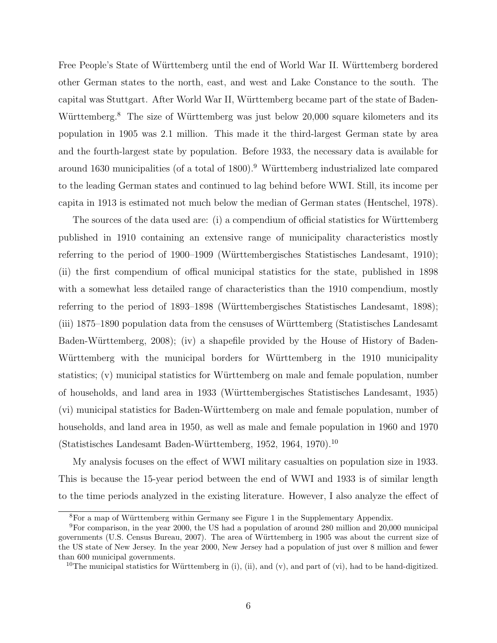Free People's State of Württemberg until the end of World War II. Württemberg bordered other German states to the north, east, and west and Lake Constance to the south. The capital was Stuttgart. After World War II, Württemberg became part of the state of Baden-Württemberg.<sup>8</sup> The size of Württemberg was just below 20,000 square kilometers and its population in 1905 was 2.1 million. This made it the third-largest German state by area and the fourth-largest state by population. Before 1933, the necessary data is available for around 1630 municipalities (of a total of 1800).<sup>9</sup> Württemberg industrialized late compared to the leading German states and continued to lag behind before WWI. Still, its income per capita in 1913 is estimated not much below the median of German states (Hentschel, 1978).

The sources of the data used are: (i) a compendium of official statistics for Württemberg published in 1910 containing an extensive range of municipality characteristics mostly referring to the period of 1900–1909 (Württembergisches Statistisches Landesamt, 1910); (ii) the first compendium of offical municipal statistics for the state, published in 1898 with a somewhat less detailed range of characteristics than the 1910 compendium, mostly referring to the period of 1893–1898 (Württembergisches Statistisches Landesamt, 1898); (iii) 1875–1890 population data from the censuses of W¨urttemberg (Statistisches Landesamt Baden-Württemberg, 2008); (iv) a shapefile provided by the House of History of Baden-Württemberg with the municipal borders for Württemberg in the 1910 municipality statistics; (v) municipal statistics for Württemberg on male and female population, number of households, and land area in 1933 (W¨urttembergisches Statistisches Landesamt, 1935) (vi) municipal statistics for Baden-W¨urttemberg on male and female population, number of households, and land area in 1950, as well as male and female population in 1960 and 1970 (Statistisches Landesamt Baden-W¨urttemberg, 1952, 1964, 1970).<sup>10</sup>

My analysis focuses on the effect of WWI military casualties on population size in 1933. This is because the 15-year period between the end of WWI and 1933 is of similar length to the time periods analyzed in the existing literature. However, I also analyze the effect of

 ${}^{8}$ For a map of Württemberg within Germany see Figure 1 in the Supplementary Appendix.

<sup>9</sup>For comparison, in the year 2000, the US had a population of around 280 million and 20,000 municipal governments (U.S. Census Bureau, 2007). The area of W¨urttemberg in 1905 was about the current size of the US state of New Jersey. In the year 2000, New Jersey had a population of just over 8 million and fewer than 600 municipal governments.

<sup>&</sup>lt;sup>10</sup>The municipal statistics for Württemberg in (i), (ii), and (v), and part of (vi), had to be hand-digitized.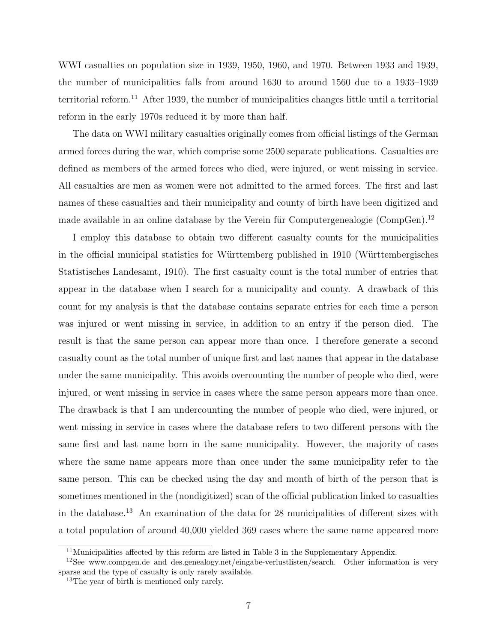WWI casualties on population size in 1939, 1950, 1960, and 1970. Between 1933 and 1939, the number of municipalities falls from around 1630 to around 1560 due to a 1933–1939 territorial reform.<sup>11</sup> After 1939, the number of municipalities changes little until a territorial reform in the early 1970s reduced it by more than half.

The data on WWI military casualties originally comes from official listings of the German armed forces during the war, which comprise some 2500 separate publications. Casualties are defined as members of the armed forces who died, were injured, or went missing in service. All casualties are men as women were not admitted to the armed forces. The first and last names of these casualties and their municipality and county of birth have been digitized and made available in an online database by the Verein für Computergenealogie (CompGen).<sup>12</sup>

I employ this database to obtain two different casualty counts for the municipalities in the official municipal statistics for Württemberg published in 1910 (Württembergisches Statistisches Landesamt, 1910). The first casualty count is the total number of entries that appear in the database when I search for a municipality and county. A drawback of this count for my analysis is that the database contains separate entries for each time a person was injured or went missing in service, in addition to an entry if the person died. The result is that the same person can appear more than once. I therefore generate a second casualty count as the total number of unique first and last names that appear in the database under the same municipality. This avoids overcounting the number of people who died, were injured, or went missing in service in cases where the same person appears more than once. The drawback is that I am undercounting the number of people who died, were injured, or went missing in service in cases where the database refers to two different persons with the same first and last name born in the same municipality. However, the majority of cases where the same name appears more than once under the same municipality refer to the same person. This can be checked using the day and month of birth of the person that is sometimes mentioned in the (nondigitized) scan of the official publication linked to casualties in the database.<sup>13</sup> An examination of the data for 28 municipalities of different sizes with a total population of around 40,000 yielded 369 cases where the same name appeared more

 $11$ Municipalities affected by this reform are listed in Table 3 in the Supplementary Appendix.

<sup>12</sup>See www.compgen.de and des.genealogy.net/eingabe-verlustlisten/search. Other information is very sparse and the type of casualty is only rarely available.

<sup>&</sup>lt;sup>13</sup>The year of birth is mentioned only rarely.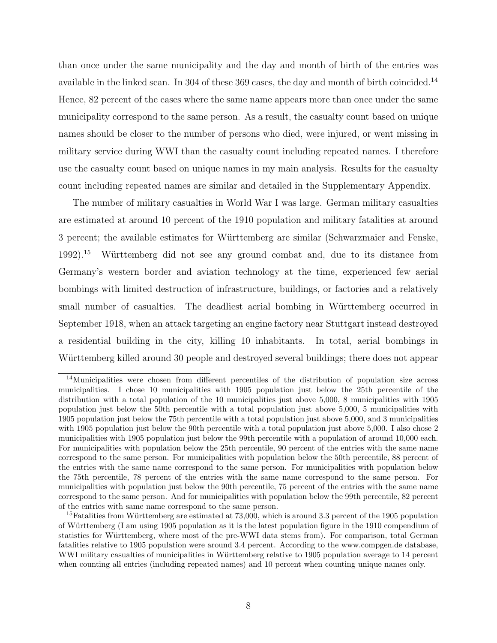than once under the same municipality and the day and month of birth of the entries was available in the linked scan. In 304 of these 369 cases, the day and month of birth coincided.<sup>14</sup> Hence, 82 percent of the cases where the same name appears more than once under the same municipality correspond to the same person. As a result, the casualty count based on unique names should be closer to the number of persons who died, were injured, or went missing in military service during WWI than the casualty count including repeated names. I therefore use the casualty count based on unique names in my main analysis. Results for the casualty count including repeated names are similar and detailed in the Supplementary Appendix.

The number of military casualties in World War I was large. German military casualties are estimated at around 10 percent of the 1910 population and military fatalities at around 3 percent; the available estimates for Württemberg are similar (Schwarzmaier and Fenske, 1992).<sup>15</sup> Württemberg did not see any ground combat and, due to its distance from Germany's western border and aviation technology at the time, experienced few aerial bombings with limited destruction of infrastructure, buildings, or factories and a relatively small number of casualties. The deadliest aerial bombing in Württemberg occurred in September 1918, when an attack targeting an engine factory near Stuttgart instead destroyed a residential building in the city, killing 10 inhabitants. In total, aerial bombings in Württemberg killed around 30 people and destroyed several buildings; there does not appear

<sup>&</sup>lt;sup>14</sup>Municipalities were chosen from different percentiles of the distribution of population size across municipalities. I chose 10 municipalities with 1905 population just below the 25th percentile of the distribution with a total population of the 10 municipalities just above 5,000, 8 municipalities with 1905 population just below the 50th percentile with a total population just above 5,000, 5 municipalities with 1905 population just below the 75th percentile with a total population just above 5,000, and 3 municipalities with 1905 population just below the 90th percentile with a total population just above 5,000. I also chose 2 municipalities with 1905 population just below the 99th percentile with a population of around 10,000 each. For municipalities with population below the 25th percentile, 90 percent of the entries with the same name correspond to the same person. For municipalities with population below the 50th percentile, 88 percent of the entries with the same name correspond to the same person. For municipalities with population below the 75th percentile, 78 percent of the entries with the same name correspond to the same person. For municipalities with population just below the 90th percentile, 75 percent of the entries with the same name correspond to the same person. And for municipalities with population below the 99th percentile, 82 percent of the entries with same name correspond to the same person.

<sup>&</sup>lt;sup>15</sup>Fatalities from Württemberg are estimated at  $73,000$ , which is around 3.3 percent of the 1905 population of Württemberg (I am using 1905 population as it is the latest population figure in the 1910 compendium of statistics for Württemberg, where most of the pre-WWI data stems from). For comparison, total German fatalities relative to 1905 population were around 3.4 percent. According to the www.compgen.de database, WWI military casualties of municipalities in Württemberg relative to 1905 population average to 14 percent when counting all entries (including repeated names) and 10 percent when counting unique names only.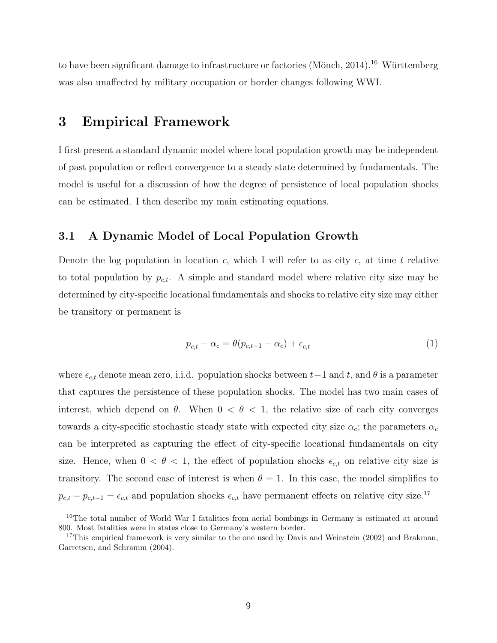to have been significant damage to infrastructure or factories (Mönch, 2014).<sup>16</sup> Württemberg was also unaffected by military occupation or border changes following WWI.

# 3 Empirical Framework

I first present a standard dynamic model where local population growth may be independent of past population or reflect convergence to a steady state determined by fundamentals. The model is useful for a discussion of how the degree of persistence of local population shocks can be estimated. I then describe my main estimating equations.

## 3.1 A Dynamic Model of Local Population Growth

Denote the log population in location c, which I will refer to as city c, at time t relative to total population by  $p_{c,t}$ . A simple and standard model where relative city size may be determined by city-specific locational fundamentals and shocks to relative city size may either be transitory or permanent is

$$
p_{c,t} - \alpha_c = \theta(p_{c,t-1} - \alpha_c) + \epsilon_{c,t} \tag{1}
$$

where  $\epsilon_{c,t}$  denote mean zero, i.i.d. population shocks between  $t-1$  and  $t$ , and  $\theta$  is a parameter that captures the persistence of these population shocks. The model has two main cases of interest, which depend on  $\theta$ . When  $0 < \theta < 1$ , the relative size of each city converges towards a city-specific stochastic steady state with expected city size  $\alpha_c$ ; the parameters  $\alpha_c$ can be interpreted as capturing the effect of city-specific locational fundamentals on city size. Hence, when  $0 < \theta < 1$ , the effect of population shocks  $\epsilon_{c,t}$  on relative city size is transitory. The second case of interest is when  $\theta = 1$ . In this case, the model simplifies to  $p_{c,t} - p_{c,t-1} = \epsilon_{c,t}$  and population shocks  $\epsilon_{c,t}$  have permanent effects on relative city size.<sup>17</sup>

<sup>&</sup>lt;sup>16</sup>The total number of World War I fatalities from aerial bombings in Germany is estimated at around 800. Most fatalities were in states close to Germany's western border.

<sup>&</sup>lt;sup>17</sup>This empirical framework is very similar to the one used by Davis and Weinstein  $(2002)$  and Brakman, Garretsen, and Schramm (2004).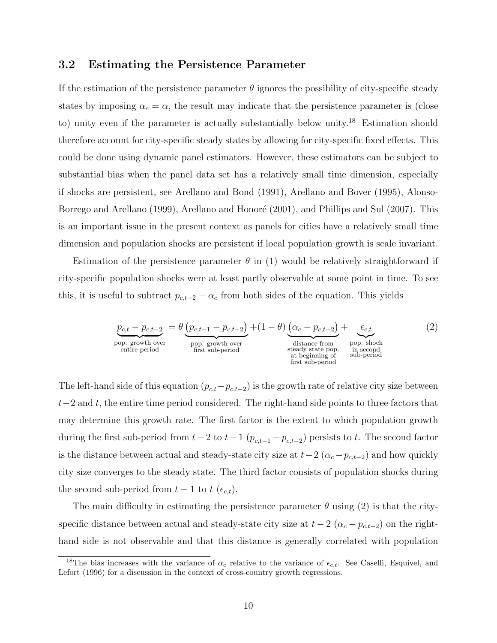## 3.2 Estimating the Persistence Parameter

If the estimation of the persistence parameter  $\theta$  ignores the possibility of city-specific steady states by imposing  $\alpha_c = \alpha$ , the result may indicate that the persistence parameter is (close to) unity even if the parameter is actually substantially below unity.<sup>18</sup> Estimation should therefore account for city-specific steady states by allowing for city-specific fixed effects. This could be done using dynamic panel estimators. However, these estimators can be subject to substantial bias when the panel data set has a relatively small time dimension, especially if shocks are persistent, see Arellano and Bond (1991), Arellano and Bover (1995), Alonso-Borrego and Arellano (1999), Arellano and Honoré (2001), and Phillips and Sul (2007). This is an important issue in the present context as panels for cities have a relatively small time dimension and population shocks are persistent if local population growth is scale invariant.

Estimation of the persistence parameter  $\theta$  in (1) would be relatively straightforward if city-specific population shocks were at least partly observable at some point in time. To see this, it is useful to subtract  $p_{c,t-2} - \alpha_c$  from both sides of the equation. This yields

$$
\underbrace{p_{c,t} - p_{c,t-2}}_{\text{pop. growth over}} = \theta \underbrace{(p_{c,t-1} - p_{c,t-2})}_{\text{first sub-period}} + (1 - \theta) \underbrace{(\alpha_c - p_{c,t-2})}_{\text{distance from} \atop \text{steady state prop.} \atop \text{at beginning of} \atop \text{first sub-period}} + \underbrace{\epsilon_{c,t}}_{\text{pop. shock}} \tag{2}
$$

The left-hand side of this equation  $(p_{c,t}-p_{c,t-2})$  is the growth rate of relative city size between  $t-2$  and t, the entire time period considered. The right-hand side points to three factors that may determine this growth rate. The first factor is the extent to which population growth during the first sub-period from  $t-2$  to  $t-1$  ( $p_{c,t-1}-p_{c,t-2}$ ) persists to t. The second factor is the distance between actual and steady-state city size at  $t-2$  ( $\alpha_c-p_{c,t-2}$ ) and how quickly city size converges to the steady state. The third factor consists of population shocks during the second sub-period from  $t-1$  to  $t$  ( $\epsilon_{c,t}$ ).

The main difficulty in estimating the persistence parameter  $\theta$  using (2) is that the cityspecific distance between actual and steady-state city size at  $t - 2$  ( $\alpha_c - p_{c,t-2}$ ) on the righthand side is not observable and that this distance is generally correlated with population

<sup>&</sup>lt;sup>18</sup>The bias increases with the variance of  $\alpha_c$  relative to the variance of  $\epsilon_{c,t}$ . See Caselli, Esquivel, and Lefort (1996) for a discussion in the context of cross-country growth regressions.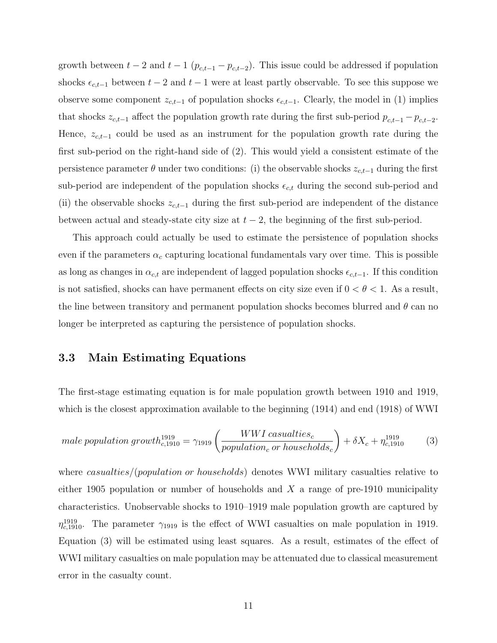growth between  $t-2$  and  $t-1$   $(p_{c,t-1}-p_{c,t-2})$ . This issue could be addressed if population shocks  $\epsilon_{c,t-1}$  between  $t-2$  and  $t-1$  were at least partly observable. To see this suppose we observe some component  $z_{c,t-1}$  of population shocks  $\epsilon_{c,t-1}$ . Clearly, the model in (1) implies that shocks  $z_{c,t-1}$  affect the population growth rate during the first sub-period  $p_{c,t-1} - p_{c,t-2}$ . Hence,  $z_{c,t-1}$  could be used as an instrument for the population growth rate during the first sub-period on the right-hand side of (2). This would yield a consistent estimate of the persistence parameter  $\theta$  under two conditions: (i) the observable shocks  $z_{c,t-1}$  during the first sub-period are independent of the population shocks  $\epsilon_{c,t}$  during the second sub-period and (ii) the observable shocks  $z_{c,t-1}$  during the first sub-period are independent of the distance between actual and steady-state city size at  $t - 2$ , the beginning of the first sub-period.

This approach could actually be used to estimate the persistence of population shocks even if the parameters  $\alpha_c$  capturing locational fundamentals vary over time. This is possible as long as changes in  $\alpha_{c,t}$  are independent of lagged population shocks  $\epsilon_{c,t-1}$ . If this condition is not satisfied, shocks can have permanent effects on city size even if  $0 < \theta < 1$ . As a result, the line between transitory and permanent population shocks becomes blurred and  $\theta$  can no longer be interpreted as capturing the persistence of population shocks.

## 3.3 Main Estimating Equations

The first-stage estimating equation is for male population growth between 1910 and 1919, which is the closest approximation available to the beginning (1914) and end (1918) of WWI

$$
male population growth^{1919}_{c,1910} = \gamma_{1919} \left( \frac{WWI\,casualties_c}{population_c\,or\,households_c} \right) + \delta X_c + \eta_{c,1910}^{1919} \tag{3}
$$

where *casualties*/(*population or households*) denotes WWI military casualties relative to either 1905 population or number of households and  $X$  a range of pre-1910 municipality characteristics. Unobservable shocks to 1910–1919 male population growth are captured by  $\eta_{c,1910}^{1919}$ . The parameter  $\gamma_{1919}$  is the effect of WWI casualties on male population in 1919. Equation (3) will be estimated using least squares. As a result, estimates of the effect of WWI military casualties on male population may be attenuated due to classical measurement error in the casualty count.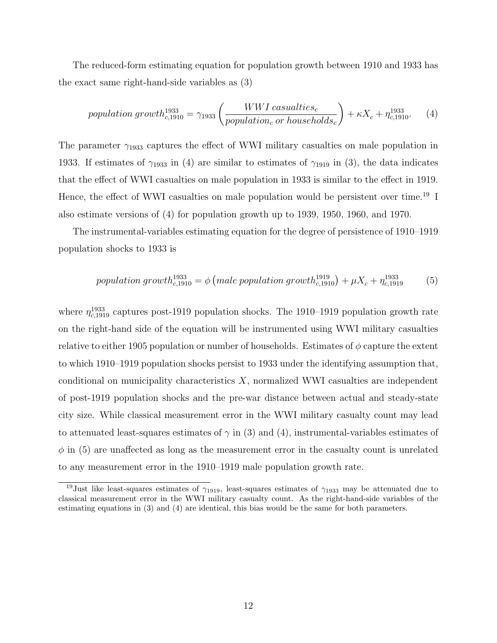The reduced-form estimating equation for population growth between 1910 and 1933 has the exact same right-hand-side variables as (3)

population growth<sup>1933</sup><sub>c,1910</sub> = 
$$
\gamma_{1933} \left( \frac{WWI\,casualties_c}{population_c\,or\,households_c} \right) + \kappa X_c + \eta_{c,1910}^{1933}
$$
. (4)

The parameter  $\gamma_{1933}$  captures the effect of WWI military casualties on male population in 1933. If estimates of  $\gamma_{1933}$  in (4) are similar to estimates of  $\gamma_{1919}$  in (3), the data indicates that the effect of WWI casualties on male population in 1933 is similar to the effect in 1919. Hence, the effect of WWI casualties on male population would be persistent over time.<sup>19</sup> I also estimate versions of (4) for population growth up to 1939, 1950, 1960, and 1970.

The instrumental-variables estimating equation for the degree of persistence of 1910–1919 population shocks to 1933 is

population growth<sup>1933</sup><sub>c,1910</sub> = 
$$
\phi
$$
 (male population growth<sup>1919</sup><sub>c,1910</sub>) +  $\mu X_c + \eta_{c,1919}^{1933}$  (5)

where  $\eta_{c,1919}^{1933}$  captures post-1919 population shocks. The 1910–1919 population growth rate on the right-hand side of the equation will be instrumented using WWI military casualties relative to either 1905 population or number of households. Estimates of  $\phi$  capture the extent to which 1910–1919 population shocks persist to 1933 under the identifying assumption that, conditional on municipality characteristics  $X$ , normalized WWI casualties are independent of post-1919 population shocks and the pre-war distance between actual and steady-state city size. While classical measurement error in the WWI military casualty count may lead to attenuated least-squares estimates of  $\gamma$  in (3) and (4), instrumental-variables estimates of  $\phi$  in (5) are unaffected as long as the measurement error in the casualty count is unrelated to any measurement error in the 1910–1919 male population growth rate.

<sup>&</sup>lt;sup>19</sup>Just like least-squares estimates of  $\gamma_{1919}$ , least-squares estimates of  $\gamma_{1933}$  may be attenuated due to classical measurement error in the WWI military casualty count. As the right-hand-side variables of the estimating equations in (3) and (4) are identical, this bias would be the same for both parameters.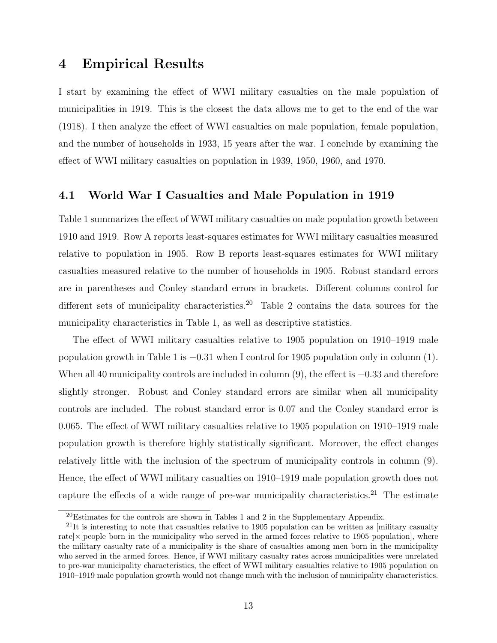# 4 Empirical Results

I start by examining the effect of WWI military casualties on the male population of municipalities in 1919. This is the closest the data allows me to get to the end of the war (1918). I then analyze the effect of WWI casualties on male population, female population, and the number of households in 1933, 15 years after the war. I conclude by examining the effect of WWI military casualties on population in 1939, 1950, 1960, and 1970.

## 4.1 World War I Casualties and Male Population in 1919

Table 1 summarizes the effect of WWI military casualties on male population growth between 1910 and 1919. Row A reports least-squares estimates for WWI military casualties measured relative to population in 1905. Row B reports least-squares estimates for WWI military casualties measured relative to the number of households in 1905. Robust standard errors are in parentheses and Conley standard errors in brackets. Different columns control for different sets of municipality characteristics.<sup>20</sup> Table 2 contains the data sources for the municipality characteristics in Table 1, as well as descriptive statistics.

The effect of WWI military casualties relative to 1905 population on 1910–1919 male population growth in Table 1 is −0.31 when I control for 1905 population only in column (1). When all 40 municipality controls are included in column (9), the effect is −0.33 and therefore slightly stronger. Robust and Conley standard errors are similar when all municipality controls are included. The robust standard error is 0.07 and the Conley standard error is 0.065. The effect of WWI military casualties relative to 1905 population on 1910–1919 male population growth is therefore highly statistically significant. Moreover, the effect changes relatively little with the inclusion of the spectrum of municipality controls in column (9). Hence, the effect of WWI military casualties on 1910–1919 male population growth does not capture the effects of a wide range of pre-war municipality characteristics.<sup>21</sup> The estimate

<sup>20</sup>Estimates for the controls are shown in Tables 1 and 2 in the Supplementary Appendix.

 $^{21}$ It is interesting to note that casualties relative to 1905 population can be written as [military casualty rate $\vert \times \vert$  people born in the municipality who served in the armed forces relative to 1905 population, where the military casualty rate of a municipality is the share of casualties among men born in the municipality who served in the armed forces. Hence, if WWI military casualty rates across municipalities were unrelated to pre-war municipality characteristics, the effect of WWI military casualties relative to 1905 population on 1910–1919 male population growth would not change much with the inclusion of municipality characteristics.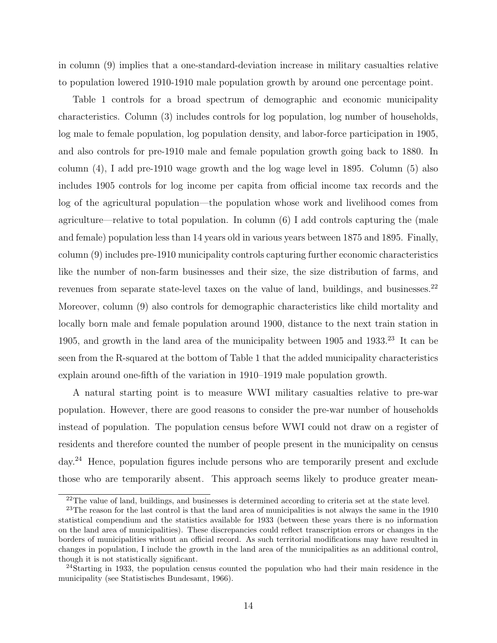in column (9) implies that a one-standard-deviation increase in military casualties relative to population lowered 1910-1910 male population growth by around one percentage point.

Table 1 controls for a broad spectrum of demographic and economic municipality characteristics. Column (3) includes controls for log population, log number of households, log male to female population, log population density, and labor-force participation in 1905, and also controls for pre-1910 male and female population growth going back to 1880. In column (4), I add pre-1910 wage growth and the log wage level in 1895. Column (5) also includes 1905 controls for log income per capita from official income tax records and the log of the agricultural population—the population whose work and livelihood comes from agriculture—relative to total population. In column (6) I add controls capturing the (male and female) population less than 14 years old in various years between 1875 and 1895. Finally, column (9) includes pre-1910 municipality controls capturing further economic characteristics like the number of non-farm businesses and their size, the size distribution of farms, and revenues from separate state-level taxes on the value of land, buildings, and businesses.<sup>22</sup> Moreover, column (9) also controls for demographic characteristics like child mortality and locally born male and female population around 1900, distance to the next train station in 1905, and growth in the land area of the municipality between  $1905$  and  $1933.<sup>23</sup>$  It can be seen from the R-squared at the bottom of Table 1 that the added municipality characteristics explain around one-fifth of the variation in 1910–1919 male population growth.

A natural starting point is to measure WWI military casualties relative to pre-war population. However, there are good reasons to consider the pre-war number of households instead of population. The population census before WWI could not draw on a register of residents and therefore counted the number of people present in the municipality on census day.<sup>24</sup> Hence, population figures include persons who are temporarily present and exclude those who are temporarily absent. This approach seems likely to produce greater mean-

<sup>&</sup>lt;sup>22</sup>The value of land, buildings, and businesses is determined according to criteria set at the state level.

<sup>&</sup>lt;sup>23</sup>The reason for the last control is that the land area of municipalities is not always the same in the 1910 statistical compendium and the statistics available for 1933 (between these years there is no information on the land area of municipalities). These discrepancies could reflect transcription errors or changes in the borders of municipalities without an official record. As such territorial modifications may have resulted in changes in population, I include the growth in the land area of the municipalities as an additional control, though it is not statistically significant.

 $^{24}$ Starting in 1933, the population census counted the population who had their main residence in the municipality (see Statistisches Bundesamt, 1966).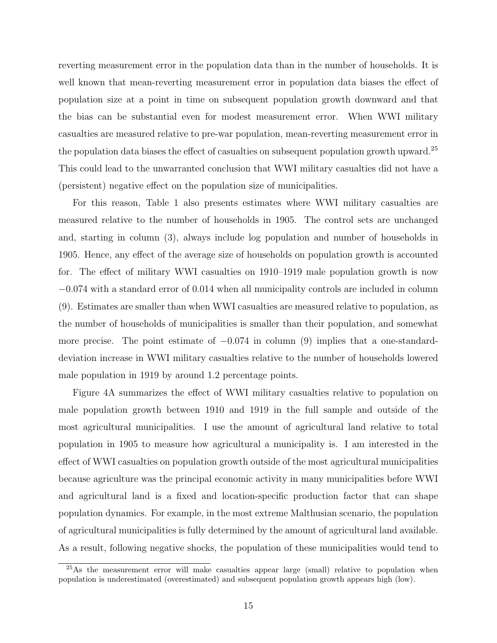reverting measurement error in the population data than in the number of households. It is well known that mean-reverting measurement error in population data biases the effect of population size at a point in time on subsequent population growth downward and that the bias can be substantial even for modest measurement error. When WWI military casualties are measured relative to pre-war population, mean-reverting measurement error in the population data biases the effect of casualties on subsequent population growth upward.<sup>25</sup> This could lead to the unwarranted conclusion that WWI military casualties did not have a (persistent) negative effect on the population size of municipalities.

For this reason, Table 1 also presents estimates where WWI military casualties are measured relative to the number of households in 1905. The control sets are unchanged and, starting in column (3), always include log population and number of households in 1905. Hence, any effect of the average size of households on population growth is accounted for. The effect of military WWI casualties on 1910–1919 male population growth is now −0.074 with a standard error of 0.014 when all municipality controls are included in column (9). Estimates are smaller than when WWI casualties are measured relative to population, as the number of households of municipalities is smaller than their population, and somewhat more precise. The point estimate of  $-0.074$  in column (9) implies that a one-standarddeviation increase in WWI military casualties relative to the number of households lowered male population in 1919 by around 1.2 percentage points.

Figure 4A summarizes the effect of WWI military casualties relative to population on male population growth between 1910 and 1919 in the full sample and outside of the most agricultural municipalities. I use the amount of agricultural land relative to total population in 1905 to measure how agricultural a municipality is. I am interested in the effect of WWI casualties on population growth outside of the most agricultural municipalities because agriculture was the principal economic activity in many municipalities before WWI and agricultural land is a fixed and location-specific production factor that can shape population dynamics. For example, in the most extreme Malthusian scenario, the population of agricultural municipalities is fully determined by the amount of agricultural land available. As a result, following negative shocks, the population of these municipalities would tend to

<sup>&</sup>lt;sup>25</sup>As the measurement error will make casualties appear large (small) relative to population when population is underestimated (overestimated) and subsequent population growth appears high (low).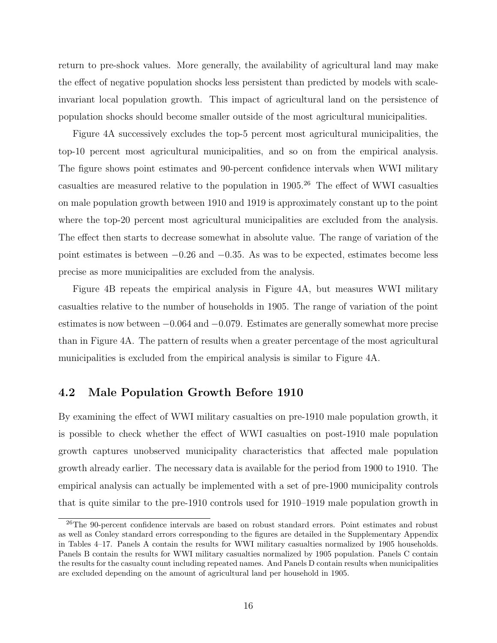return to pre-shock values. More generally, the availability of agricultural land may make the effect of negative population shocks less persistent than predicted by models with scaleinvariant local population growth. This impact of agricultural land on the persistence of population shocks should become smaller outside of the most agricultural municipalities.

Figure 4A successively excludes the top-5 percent most agricultural municipalities, the top-10 percent most agricultural municipalities, and so on from the empirical analysis. The figure shows point estimates and 90-percent confidence intervals when WWI military casualties are measured relative to the population in  $1905<sup>26</sup>$  The effect of WWI casualties on male population growth between 1910 and 1919 is approximately constant up to the point where the top-20 percent most agricultural municipalities are excluded from the analysis. The effect then starts to decrease somewhat in absolute value. The range of variation of the point estimates is between −0.26 and −0.35. As was to be expected, estimates become less precise as more municipalities are excluded from the analysis.

Figure 4B repeats the empirical analysis in Figure 4A, but measures WWI military casualties relative to the number of households in 1905. The range of variation of the point estimates is now between −0.064 and −0.079. Estimates are generally somewhat more precise than in Figure 4A. The pattern of results when a greater percentage of the most agricultural municipalities is excluded from the empirical analysis is similar to Figure 4A.

## 4.2 Male Population Growth Before 1910

By examining the effect of WWI military casualties on pre-1910 male population growth, it is possible to check whether the effect of WWI casualties on post-1910 male population growth captures unobserved municipality characteristics that affected male population growth already earlier. The necessary data is available for the period from 1900 to 1910. The empirical analysis can actually be implemented with a set of pre-1900 municipality controls that is quite similar to the pre-1910 controls used for 1910–1919 male population growth in

<sup>&</sup>lt;sup>26</sup>The 90-percent confidence intervals are based on robust standard errors. Point estimates and robust as well as Conley standard errors corresponding to the figures are detailed in the Supplementary Appendix in Tables 4–17. Panels A contain the results for WWI military casualties normalized by 1905 households. Panels B contain the results for WWI military casualties normalized by 1905 population. Panels C contain the results for the casualty count including repeated names. And Panels D contain results when municipalities are excluded depending on the amount of agricultural land per household in 1905.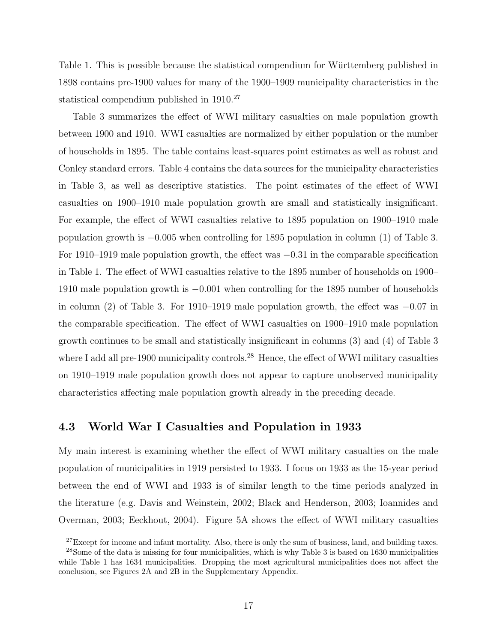Table 1. This is possible because the statistical compendium for Württemberg published in 1898 contains pre-1900 values for many of the 1900–1909 municipality characteristics in the statistical compendium published in 1910.<sup>27</sup>

Table 3 summarizes the effect of WWI military casualties on male population growth between 1900 and 1910. WWI casualties are normalized by either population or the number of households in 1895. The table contains least-squares point estimates as well as robust and Conley standard errors. Table 4 contains the data sources for the municipality characteristics in Table 3, as well as descriptive statistics. The point estimates of the effect of WWI casualties on 1900–1910 male population growth are small and statistically insignificant. For example, the effect of WWI casualties relative to 1895 population on 1900–1910 male population growth is  $-0.005$  when controlling for 1895 population in column (1) of Table 3. For 1910–1919 male population growth, the effect was −0.31 in the comparable specification in Table 1. The effect of WWI casualties relative to the 1895 number of households on 1900– 1910 male population growth is −0.001 when controlling for the 1895 number of households in column (2) of Table 3. For 1910–1919 male population growth, the effect was −0.07 in the comparable specification. The effect of WWI casualties on 1900–1910 male population growth continues to be small and statistically insignificant in columns (3) and (4) of Table 3 where I add all pre-1900 municipality controls.<sup>28</sup> Hence, the effect of WWI military casualties on 1910–1919 male population growth does not appear to capture unobserved municipality characteristics affecting male population growth already in the preceding decade.

## 4.3 World War I Casualties and Population in 1933

My main interest is examining whether the effect of WWI military casualties on the male population of municipalities in 1919 persisted to 1933. I focus on 1933 as the 15-year period between the end of WWI and 1933 is of similar length to the time periods analyzed in the literature (e.g. Davis and Weinstein, 2002; Black and Henderson, 2003; Ioannides and Overman, 2003; Eeckhout, 2004). Figure 5A shows the effect of WWI military casualties

 $27$ Except for income and infant mortality. Also, there is only the sum of business, land, and building taxes.

<sup>&</sup>lt;sup>28</sup>Some of the data is missing for four municipalities, which is why Table 3 is based on 1630 municipalities while Table 1 has 1634 municipalities. Dropping the most agricultural municipalities does not affect the conclusion, see Figures 2A and 2B in the Supplementary Appendix.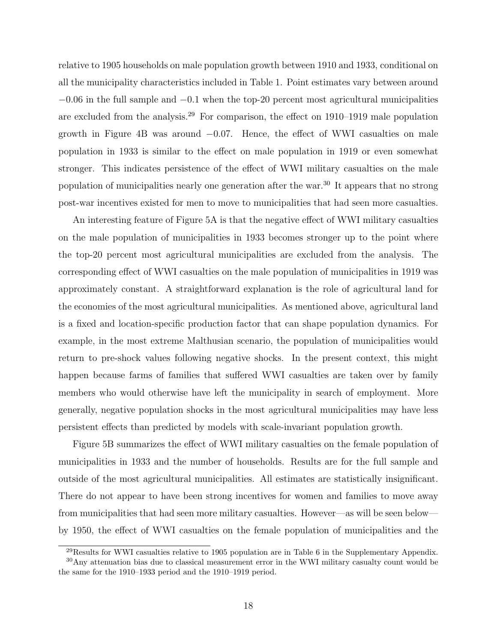relative to 1905 households on male population growth between 1910 and 1933, conditional on all the municipality characteristics included in Table 1. Point estimates vary between around  $-0.06$  in the full sample and  $-0.1$  when the top-20 percent most agricultural municipalities are excluded from the analysis.<sup>29</sup> For comparison, the effect on 1910–1919 male population growth in Figure 4B was around  $-0.07$ . Hence, the effect of WWI casualties on male population in 1933 is similar to the effect on male population in 1919 or even somewhat stronger. This indicates persistence of the effect of WWI military casualties on the male population of municipalities nearly one generation after the war.<sup>30</sup> It appears that no strong post-war incentives existed for men to move to municipalities that had seen more casualties.

An interesting feature of Figure 5A is that the negative effect of WWI military casualties on the male population of municipalities in 1933 becomes stronger up to the point where the top-20 percent most agricultural municipalities are excluded from the analysis. The corresponding effect of WWI casualties on the male population of municipalities in 1919 was approximately constant. A straightforward explanation is the role of agricultural land for the economies of the most agricultural municipalities. As mentioned above, agricultural land is a fixed and location-specific production factor that can shape population dynamics. For example, in the most extreme Malthusian scenario, the population of municipalities would return to pre-shock values following negative shocks. In the present context, this might happen because farms of families that suffered WWI casualties are taken over by family members who would otherwise have left the municipality in search of employment. More generally, negative population shocks in the most agricultural municipalities may have less persistent effects than predicted by models with scale-invariant population growth.

Figure 5B summarizes the effect of WWI military casualties on the female population of municipalities in 1933 and the number of households. Results are for the full sample and outside of the most agricultural municipalities. All estimates are statistically insignificant. There do not appear to have been strong incentives for women and families to move away from municipalities that had seen more military casualties. However—as will be seen below by 1950, the effect of WWI casualties on the female population of municipalities and the

 $^{29}$ Results for WWI casualties relative to 1905 population are in Table 6 in the Supplementary Appendix.

<sup>&</sup>lt;sup>30</sup>Any attenuation bias due to classical measurement error in the WWI military casualty count would be the same for the 1910–1933 period and the 1910–1919 period.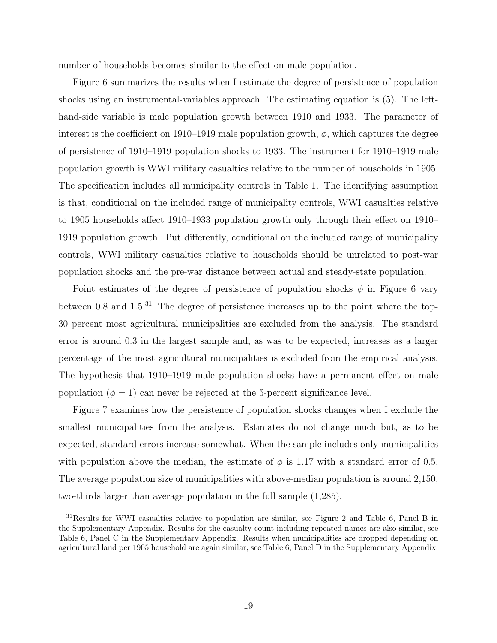number of households becomes similar to the effect on male population.

Figure 6 summarizes the results when I estimate the degree of persistence of population shocks using an instrumental-variables approach. The estimating equation is (5). The lefthand-side variable is male population growth between 1910 and 1933. The parameter of interest is the coefficient on 1910–1919 male population growth,  $\phi$ , which captures the degree of persistence of 1910–1919 population shocks to 1933. The instrument for 1910–1919 male population growth is WWI military casualties relative to the number of households in 1905. The specification includes all municipality controls in Table 1. The identifying assumption is that, conditional on the included range of municipality controls, WWI casualties relative to 1905 households affect 1910–1933 population growth only through their effect on 1910– 1919 population growth. Put differently, conditional on the included range of municipality controls, WWI military casualties relative to households should be unrelated to post-war population shocks and the pre-war distance between actual and steady-state population.

Point estimates of the degree of persistence of population shocks  $\phi$  in Figure 6 vary between 0.8 and  $1.5^{31}$  The degree of persistence increases up to the point where the top-30 percent most agricultural municipalities are excluded from the analysis. The standard error is around 0.3 in the largest sample and, as was to be expected, increases as a larger percentage of the most agricultural municipalities is excluded from the empirical analysis. The hypothesis that 1910–1919 male population shocks have a permanent effect on male population  $(\phi = 1)$  can never be rejected at the 5-percent significance level.

Figure 7 examines how the persistence of population shocks changes when I exclude the smallest municipalities from the analysis. Estimates do not change much but, as to be expected, standard errors increase somewhat. When the sample includes only municipalities with population above the median, the estimate of  $\phi$  is 1.17 with a standard error of 0.5. The average population size of municipalities with above-median population is around 2,150, two-thirds larger than average population in the full sample (1,285).

<sup>31</sup>Results for WWI casualties relative to population are similar, see Figure 2 and Table 6, Panel B in the Supplementary Appendix. Results for the casualty count including repeated names are also similar, see Table 6, Panel C in the Supplementary Appendix. Results when municipalities are dropped depending on agricultural land per 1905 household are again similar, see Table 6, Panel D in the Supplementary Appendix.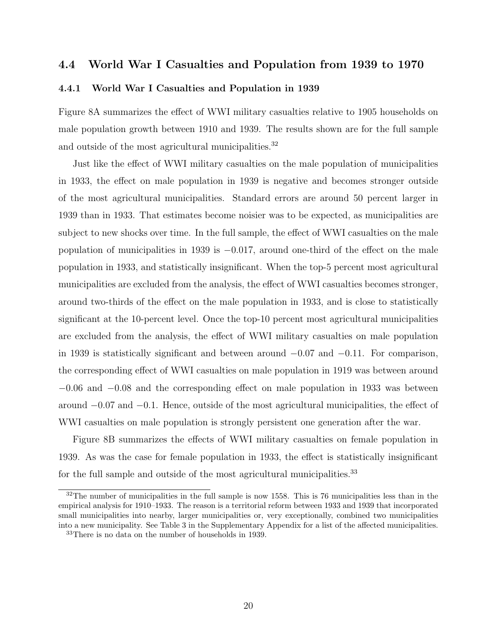# 4.4 World War I Casualties and Population from 1939 to 1970

#### 4.4.1 World War I Casualties and Population in 1939

Figure 8A summarizes the effect of WWI military casualties relative to 1905 households on male population growth between 1910 and 1939. The results shown are for the full sample and outside of the most agricultural municipalities.<sup>32</sup>

Just like the effect of WWI military casualties on the male population of municipalities in 1933, the effect on male population in 1939 is negative and becomes stronger outside of the most agricultural municipalities. Standard errors are around 50 percent larger in 1939 than in 1933. That estimates become noisier was to be expected, as municipalities are subject to new shocks over time. In the full sample, the effect of WWI casualties on the male population of municipalities in 1939 is  $-0.017$ , around one-third of the effect on the male population in 1933, and statistically insignificant. When the top-5 percent most agricultural municipalities are excluded from the analysis, the effect of WWI casualties becomes stronger, around two-thirds of the effect on the male population in 1933, and is close to statistically significant at the 10-percent level. Once the top-10 percent most agricultural municipalities are excluded from the analysis, the effect of WWI military casualties on male population in 1939 is statistically significant and between around −0.07 and −0.11. For comparison, the corresponding effect of WWI casualties on male population in 1919 was between around −0.06 and −0.08 and the corresponding effect on male population in 1933 was between around −0.07 and −0.1. Hence, outside of the most agricultural municipalities, the effect of WWI casualties on male population is strongly persistent one generation after the war.

Figure 8B summarizes the effects of WWI military casualties on female population in 1939. As was the case for female population in 1933, the effect is statistically insignificant for the full sample and outside of the most agricultural municipalities.<sup>33</sup>

 $32$ The number of municipalities in the full sample is now 1558. This is 76 municipalities less than in the empirical analysis for 1910–1933. The reason is a territorial reform between 1933 and 1939 that incorporated small municipalities into nearby, larger municipalities or, very exceptionally, combined two municipalities into a new municipality. See Table 3 in the Supplementary Appendix for a list of the affected municipalities.

<sup>33</sup>There is no data on the number of households in 1939.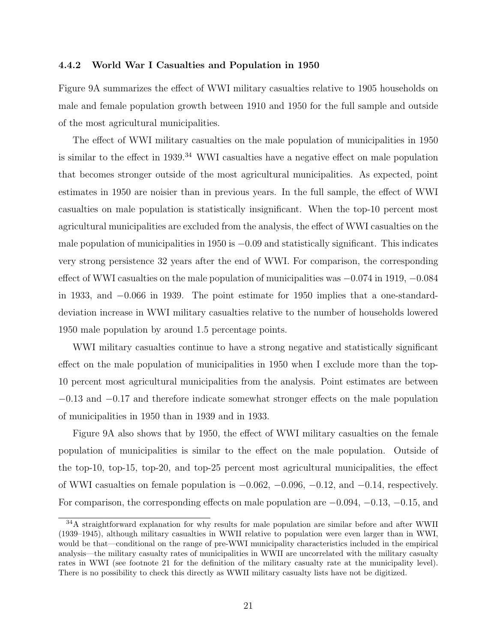#### 4.4.2 World War I Casualties and Population in 1950

Figure 9A summarizes the effect of WWI military casualties relative to 1905 households on male and female population growth between 1910 and 1950 for the full sample and outside of the most agricultural municipalities.

The effect of WWI military casualties on the male population of municipalities in 1950 is similar to the effect in 1939.<sup>34</sup> WWI casualties have a negative effect on male population that becomes stronger outside of the most agricultural municipalities. As expected, point estimates in 1950 are noisier than in previous years. In the full sample, the effect of WWI casualties on male population is statistically insignificant. When the top-10 percent most agricultural municipalities are excluded from the analysis, the effect of WWI casualties on the male population of municipalities in 1950 is  $-0.09$  and statistically significant. This indicates very strong persistence 32 years after the end of WWI. For comparison, the corresponding effect of WWI casualties on the male population of municipalities was  $-0.074$  in 1919,  $-0.084$ in 1933, and −0.066 in 1939. The point estimate for 1950 implies that a one-standarddeviation increase in WWI military casualties relative to the number of households lowered 1950 male population by around 1.5 percentage points.

WWI military casualties continue to have a strong negative and statistically significant effect on the male population of municipalities in 1950 when I exclude more than the top-10 percent most agricultural municipalities from the analysis. Point estimates are between −0.13 and −0.17 and therefore indicate somewhat stronger effects on the male population of municipalities in 1950 than in 1939 and in 1933.

Figure 9A also shows that by 1950, the effect of WWI military casualties on the female population of municipalities is similar to the effect on the male population. Outside of the top-10, top-15, top-20, and top-25 percent most agricultural municipalities, the effect of WWI casualties on female population is  $-0.062, -0.096, -0.12,$  and  $-0.14$ , respectively. For comparison, the corresponding effects on male population are −0.094, −0.13, −0.15, and

<sup>&</sup>lt;sup>34</sup>A straightforward explanation for why results for male population are similar before and after WWII (1939–1945), although military casualties in WWII relative to population were even larger than in WWI, would be that—conditional on the range of pre-WWI municipality characteristics included in the empirical analysis—the military casualty rates of municipalities in WWII are uncorrelated with the military casualty rates in WWI (see footnote 21 for the definition of the military casualty rate at the municipality level). There is no possibility to check this directly as WWII military casualty lists have not be digitized.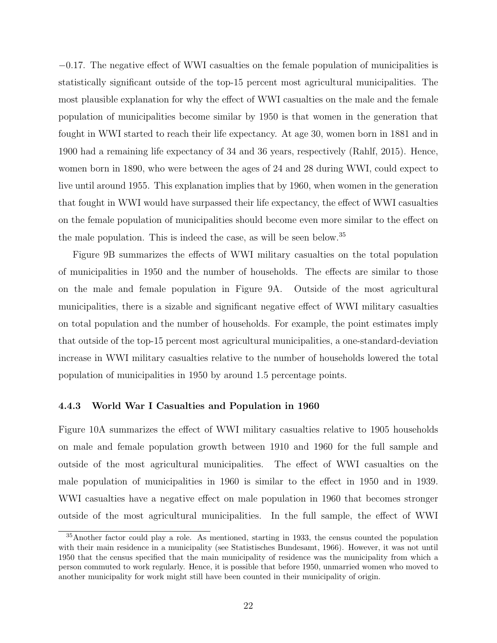−0.17. The negative effect of WWI casualties on the female population of municipalities is statistically significant outside of the top-15 percent most agricultural municipalities. The most plausible explanation for why the effect of WWI casualties on the male and the female population of municipalities become similar by 1950 is that women in the generation that fought in WWI started to reach their life expectancy. At age 30, women born in 1881 and in 1900 had a remaining life expectancy of 34 and 36 years, respectively (Rahlf, 2015). Hence, women born in 1890, who were between the ages of 24 and 28 during WWI, could expect to live until around 1955. This explanation implies that by 1960, when women in the generation that fought in WWI would have surpassed their life expectancy, the effect of WWI casualties on the female population of municipalities should become even more similar to the effect on the male population. This is indeed the case, as will be seen below.<sup>35</sup>

Figure 9B summarizes the effects of WWI military casualties on the total population of municipalities in 1950 and the number of households. The effects are similar to those on the male and female population in Figure 9A. Outside of the most agricultural municipalities, there is a sizable and significant negative effect of WWI military casualties on total population and the number of households. For example, the point estimates imply that outside of the top-15 percent most agricultural municipalities, a one-standard-deviation increase in WWI military casualties relative to the number of households lowered the total population of municipalities in 1950 by around 1.5 percentage points.

#### 4.4.3 World War I Casualties and Population in 1960

Figure 10A summarizes the effect of WWI military casualties relative to 1905 households on male and female population growth between 1910 and 1960 for the full sample and outside of the most agricultural municipalities. The effect of WWI casualties on the male population of municipalities in 1960 is similar to the effect in 1950 and in 1939. WWI casualties have a negative effect on male population in 1960 that becomes stronger outside of the most agricultural municipalities. In the full sample, the effect of WWI

<sup>35</sup>Another factor could play a role. As mentioned, starting in 1933, the census counted the population with their main residence in a municipality (see Statistisches Bundesamt, 1966). However, it was not until 1950 that the census specified that the main municipality of residence was the municipality from which a person commuted to work regularly. Hence, it is possible that before 1950, unmarried women who moved to another municipality for work might still have been counted in their municipality of origin.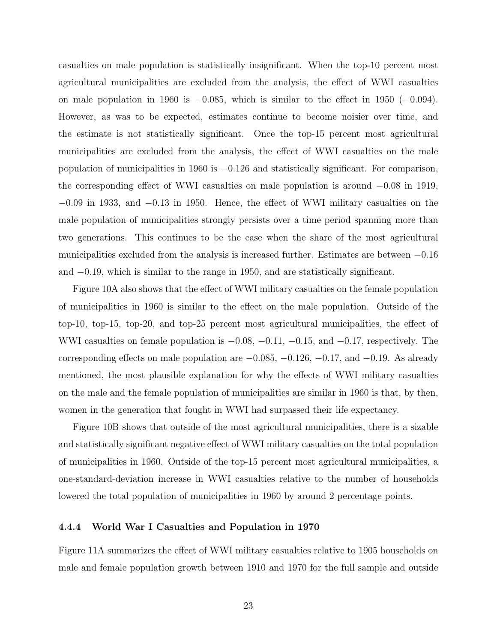casualties on male population is statistically insignificant. When the top-10 percent most agricultural municipalities are excluded from the analysis, the effect of WWI casualties on male population in 1960 is  $-0.085$ , which is similar to the effect in 1950 ( $-0.094$ ). However, as was to be expected, estimates continue to become noisier over time, and the estimate is not statistically significant. Once the top-15 percent most agricultural municipalities are excluded from the analysis, the effect of WWI casualties on the male population of municipalities in 1960 is −0.126 and statistically significant. For comparison, the corresponding effect of WWI casualties on male population is around −0.08 in 1919, −0.09 in 1933, and −0.13 in 1950. Hence, the effect of WWI military casualties on the male population of municipalities strongly persists over a time period spanning more than two generations. This continues to be the case when the share of the most agricultural municipalities excluded from the analysis is increased further. Estimates are between −0.16 and −0.19, which is similar to the range in 1950, and are statistically significant.

Figure 10A also shows that the effect of WWI military casualties on the female population of municipalities in 1960 is similar to the effect on the male population. Outside of the top-10, top-15, top-20, and top-25 percent most agricultural municipalities, the effect of WWI casualties on female population is  $-0.08, -0.11, -0.15,$  and  $-0.17$ , respectively. The corresponding effects on male population are  $-0.085$ ,  $-0.126$ ,  $-0.17$ , and  $-0.19$ . As already mentioned, the most plausible explanation for why the effects of WWI military casualties on the male and the female population of municipalities are similar in 1960 is that, by then, women in the generation that fought in WWI had surpassed their life expectancy.

Figure 10B shows that outside of the most agricultural municipalities, there is a sizable and statistically significant negative effect of WWI military casualties on the total population of municipalities in 1960. Outside of the top-15 percent most agricultural municipalities, a one-standard-deviation increase in WWI casualties relative to the number of households lowered the total population of municipalities in 1960 by around 2 percentage points.

#### 4.4.4 World War I Casualties and Population in 1970

Figure 11A summarizes the effect of WWI military casualties relative to 1905 households on male and female population growth between 1910 and 1970 for the full sample and outside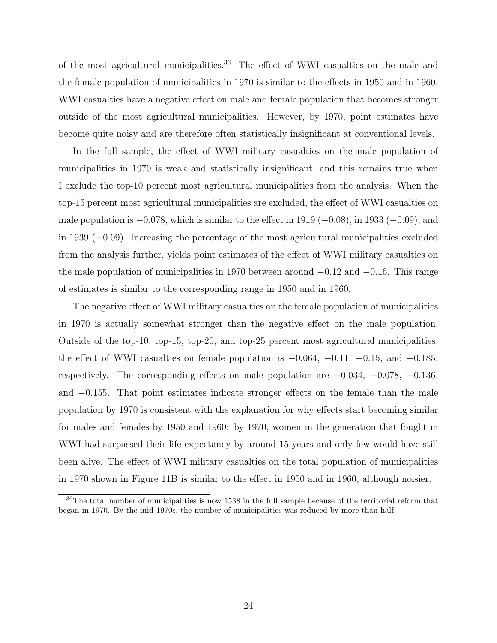of the most agricultural municipalities.<sup>36</sup> The effect of WWI casualties on the male and the female population of municipalities in 1970 is similar to the effects in 1950 and in 1960. WWI casualties have a negative effect on male and female population that becomes stronger outside of the most agricultural municipalities. However, by 1970, point estimates have become quite noisy and are therefore often statistically insignificant at conventional levels.

In the full sample, the effect of WWI military casualties on the male population of municipalities in 1970 is weak and statistically insignificant, and this remains true when I exclude the top-10 percent most agricultural municipalities from the analysis. When the top-15 percent most agricultural municipalities are excluded, the effect of WWI casualties on male population is  $-0.078$ , which is similar to the effect in 1919 ( $-0.08$ ), in 1933 ( $-0.09$ ), and in 1939 (−0.09). Increasing the percentage of the most agricultural municipalities excluded from the analysis further, yields point estimates of the effect of WWI military casualties on the male population of municipalities in 1970 between around −0.12 and −0.16. This range of estimates is similar to the corresponding range in 1950 and in 1960.

The negative effect of WWI military casualties on the female population of municipalities in 1970 is actually somewhat stronger than the negative effect on the male population. Outside of the top-10, top-15, top-20, and top-25 percent most agricultural municipalities, the effect of WWI casualties on female population is  $-0.064$ ,  $-0.11$ ,  $-0.15$ , and  $-0.185$ , respectively. The corresponding effects on male population are −0.034, −0.078, −0.136, and −0.155. That point estimates indicate stronger effects on the female than the male population by 1970 is consistent with the explanation for why effects start becoming similar for males and females by 1950 and 1960: by 1970, women in the generation that fought in WWI had surpassed their life expectancy by around 15 years and only few would have still been alive. The effect of WWI military casualties on the total population of municipalities in 1970 shown in Figure 11B is similar to the effect in 1950 and in 1960, although noisier.

<sup>36</sup>The total number of municipalities is now 1538 in the full sample because of the territorial reform that began in 1970. By the mid-1970s, the number of municipalities was reduced by more than half.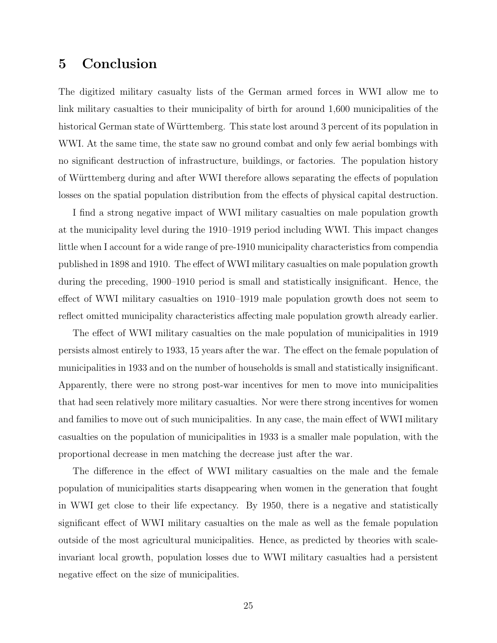# 5 Conclusion

The digitized military casualty lists of the German armed forces in WWI allow me to link military casualties to their municipality of birth for around 1,600 municipalities of the historical German state of Württemberg. This state lost around 3 percent of its population in WWI. At the same time, the state saw no ground combat and only few aerial bombings with no significant destruction of infrastructure, buildings, or factories. The population history of Württemberg during and after WWI therefore allows separating the effects of population losses on the spatial population distribution from the effects of physical capital destruction.

I find a strong negative impact of WWI military casualties on male population growth at the municipality level during the 1910–1919 period including WWI. This impact changes little when I account for a wide range of pre-1910 municipality characteristics from compendia published in 1898 and 1910. The effect of WWI military casualties on male population growth during the preceding, 1900–1910 period is small and statistically insignificant. Hence, the effect of WWI military casualties on 1910–1919 male population growth does not seem to reflect omitted municipality characteristics affecting male population growth already earlier.

The effect of WWI military casualties on the male population of municipalities in 1919 persists almost entirely to 1933, 15 years after the war. The effect on the female population of municipalities in 1933 and on the number of households is small and statistically insignificant. Apparently, there were no strong post-war incentives for men to move into municipalities that had seen relatively more military casualties. Nor were there strong incentives for women and families to move out of such municipalities. In any case, the main effect of WWI military casualties on the population of municipalities in 1933 is a smaller male population, with the proportional decrease in men matching the decrease just after the war.

The difference in the effect of WWI military casualties on the male and the female population of municipalities starts disappearing when women in the generation that fought in WWI get close to their life expectancy. By 1950, there is a negative and statistically significant effect of WWI military casualties on the male as well as the female population outside of the most agricultural municipalities. Hence, as predicted by theories with scaleinvariant local growth, population losses due to WWI military casualties had a persistent negative effect on the size of municipalities.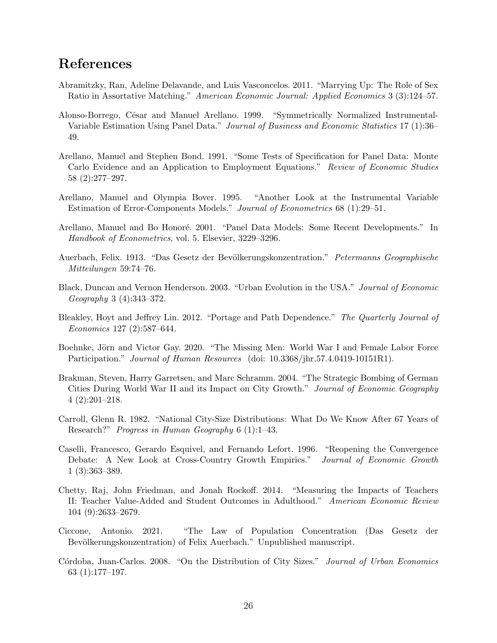# References

- Abramitzky, Ran, Adeline Delavande, and Luis Vasconcelos. 2011. "Marrying Up: The Role of Sex Ratio in Assortative Matching." American Economic Journal: Applied Economics 3 (3):124–57.
- Alonso-Borrego, César and Manuel Arellano. 1999. "Symmetrically Normalized Instrumental-Variable Estimation Using Panel Data." Journal of Business and Economic Statistics 17 (1):36– 49.
- Arellano, Manuel and Stephen Bond. 1991. "Some Tests of Specification for Panel Data: Monte Carlo Evidence and an Application to Employment Equations." Review of Economic Studies 58 (2):277–297.
- Arellano, Manuel and Olympia Bover. 1995. "Another Look at the Instrumental Variable Estimation of Error-Components Models." Journal of Econometrics 68 (1):29–51.
- Arellano, Manuel and Bo Honoré. 2001. "Panel Data Models: Some Recent Developments." In Handbook of Econometrics, vol. 5. Elsevier, 3229–3296.
- Auerbach, Felix. 1913. "Das Gesetz der Bevölkerungskonzentration." Petermanns Geographische Mitteilungen 59:74–76.
- Black, Duncan and Vernon Henderson. 2003. "Urban Evolution in the USA." Journal of Economic Geography 3 (4):343–372.
- Bleakley, Hoyt and Jeffrey Lin. 2012. "Portage and Path Dependence." The Quarterly Journal of Economics 127 (2):587–644.
- Boehnke, Jörn and Victor Gay. 2020. "The Missing Men: World War I and Female Labor Force Participation." *Journal of Human Resources* (doi: 10.3368/jhr.57.4.0419-10151R1).
- Brakman, Steven, Harry Garretsen, and Marc Schramm. 2004. "The Strategic Bombing of German Cities During World War II and its Impact on City Growth." Journal of Economic Geography 4 (2):201–218.
- Carroll, Glenn R. 1982. "National City-Size Distributions: What Do We Know After 67 Years of Research?" Progress in Human Geography 6 (1):1–43.
- Caselli, Francesco, Gerardo Esquivel, and Fernando Lefort. 1996. "Reopening the Convergence Debate: A New Look at Cross-Country Growth Empirics." Journal of Economic Growth 1 (3):363–389.
- Chetty, Raj, John Friedman, and Jonah Rockoff. 2014. "Measuring the Impacts of Teachers II: Teacher Value-Added and Student Outcomes in Adulthood." American Economic Review 104 (9):2633–2679.
- Ciccone, Antonio. 2021. "The Law of Population Concentration (Das Gesetz der Bevölkerungskonzentration) of Felix Auerbach." Unpublished manuscript.
- Córdoba, Juan-Carlos. 2008. "On the Distribution of City Sizes." Journal of Urban Economics 63 (1):177–197.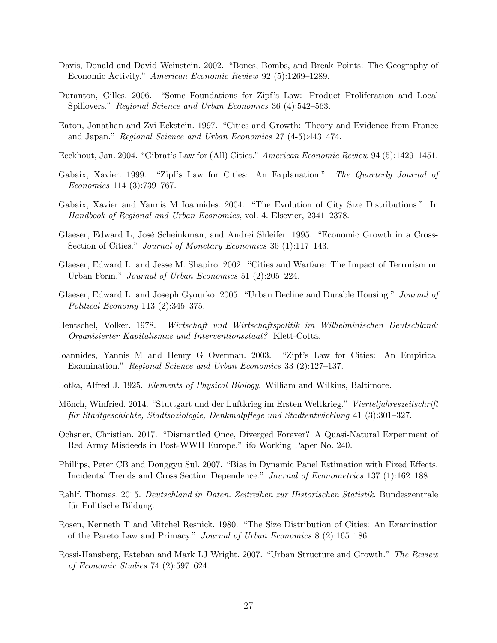- Davis, Donald and David Weinstein. 2002. "Bones, Bombs, and Break Points: The Geography of Economic Activity." American Economic Review 92 (5):1269–1289.
- Duranton, Gilles. 2006. "Some Foundations for Zipf's Law: Product Proliferation and Local Spillovers." Regional Science and Urban Economics 36 (4):542–563.
- Eaton, Jonathan and Zvi Eckstein. 1997. "Cities and Growth: Theory and Evidence from France and Japan." Regional Science and Urban Economics 27 (4-5):443–474.
- Eeckhout, Jan. 2004. "Gibrat's Law for (All) Cities." American Economic Review 94 (5):1429–1451.
- Gabaix, Xavier. 1999. "Zipf's Law for Cities: An Explanation." The Quarterly Journal of Economics 114 (3):739–767.
- Gabaix, Xavier and Yannis M Ioannides. 2004. "The Evolution of City Size Distributions." In Handbook of Regional and Urban Economics, vol. 4. Elsevier, 2341–2378.
- Glaeser, Edward L, José Scheinkman, and Andrei Shleifer. 1995. "Economic Growth in a Cross-Section of Cities." *Journal of Monetary Economics* 36 (1):117–143.
- Glaeser, Edward L. and Jesse M. Shapiro. 2002. "Cities and Warfare: The Impact of Terrorism on Urban Form." Journal of Urban Economics 51 (2):205–224.
- Glaeser, Edward L. and Joseph Gyourko. 2005. "Urban Decline and Durable Housing." Journal of Political Economy 113 (2):345–375.
- Hentschel, Volker. 1978. Wirtschaft und Wirtschaftspolitik im Wilhelminischen Deutschland: Organisierter Kapitalismus und Interventionsstaat? Klett-Cotta.
- Ioannides, Yannis M and Henry G Overman. 2003. "Zipf's Law for Cities: An Empirical Examination." Regional Science and Urban Economics 33 (2):127–137.
- Lotka, Alfred J. 1925. Elements of Physical Biology. William and Wilkins, Baltimore.
- Mönch, Winfried. 2014. "Stuttgart und der Luftkrieg im Ersten Weltkrieg." Vierteljahreszeitschrift für Stadtgeschichte, Stadtsoziologie, Denkmalpflege und Stadtentwicklung 41 (3):301–327.
- Ochsner, Christian. 2017. "Dismantled Once, Diverged Forever? A Quasi-Natural Experiment of Red Army Misdeeds in Post-WWII Europe." ifo Working Paper No. 240.
- Phillips, Peter CB and Donggyu Sul. 2007. "Bias in Dynamic Panel Estimation with Fixed Effects, Incidental Trends and Cross Section Dependence." Journal of Econometrics 137 (1):162–188.
- Rahlf, Thomas. 2015. Deutschland in Daten. Zeitreihen zur Historischen Statistik. Bundeszentrale für Politische Bildung.
- Rosen, Kenneth T and Mitchel Resnick. 1980. "The Size Distribution of Cities: An Examination of the Pareto Law and Primacy." Journal of Urban Economics 8 (2):165–186.
- Rossi-Hansberg, Esteban and Mark LJ Wright. 2007. "Urban Structure and Growth." The Review of Economic Studies 74 (2):597–624.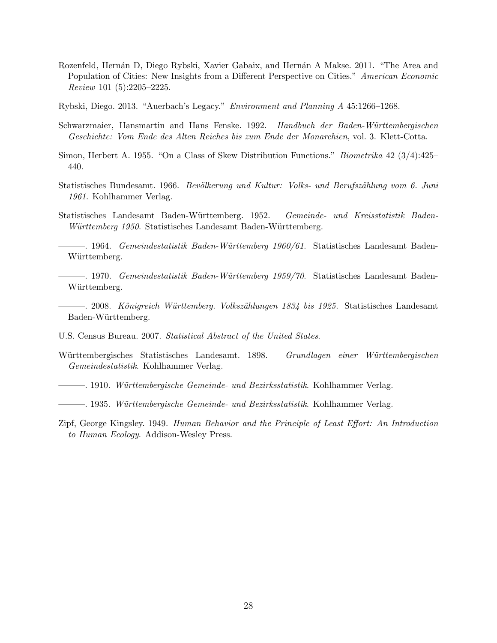- Rozenfeld, Hernán D, Diego Rybski, Xavier Gabaix, and Hernán A Makse. 2011. "The Area and Population of Cities: New Insights from a Different Perspective on Cities." American Economic Review 101 (5):2205–2225.
- Rybski, Diego. 2013. "Auerbach's Legacy." Environment and Planning A 45:1266–1268.
- Schwarzmaier, Hansmartin and Hans Fenske. 1992. Handbuch der Baden-Württembergischen Geschichte: Vom Ende des Alten Reiches bis zum Ende der Monarchien, vol. 3. Klett-Cotta.
- Simon, Herbert A. 1955. "On a Class of Skew Distribution Functions." Biometrika 42 (3/4):425– 440.
- Statistisches Bundesamt. 1966. Bevölkerung und Kultur: Volks- und Berufszählung vom 6. Juni 1961. Kohlhammer Verlag.
- Statistisches Landesamt Baden-W¨urttemberg. 1952. Gemeinde- und Kreisstatistik Baden-Württemberg 1950. Statistisches Landesamt Baden-Württemberg.

 $-$ . 1964. Gemeindestatistik Baden-Württemberg 1960/61. Statistisches Landesamt Baden-Württemberg.

- $-$ . 1970. Gemeindestatistik Baden-Württemberg 1959/70. Statistisches Landesamt Baden-Württemberg.
- $-$ . 2008. Königreich Württemberg. Volkszählungen 1834 bis 1925. Statistisches Landesamt Baden-Württemberg.
- U.S. Census Bureau. 2007. Statistical Abstract of the United States.
- Württembergisches Statistisches Landesamt. 1898. Grundlagen einer Württembergischen Gemeindestatistik. Kohlhammer Verlag.
- ——. 1910. Württembergische Gemeinde- und Bezirksstatistik. Kohlhammer Verlag.
- ——. 1935. Württembergische Gemeinde- und Bezirksstatistik. Kohlhammer Verlag.
- Zipf, George Kingsley. 1949. Human Behavior and the Principle of Least Effort: An Introduction to Human Ecology. Addison-Wesley Press.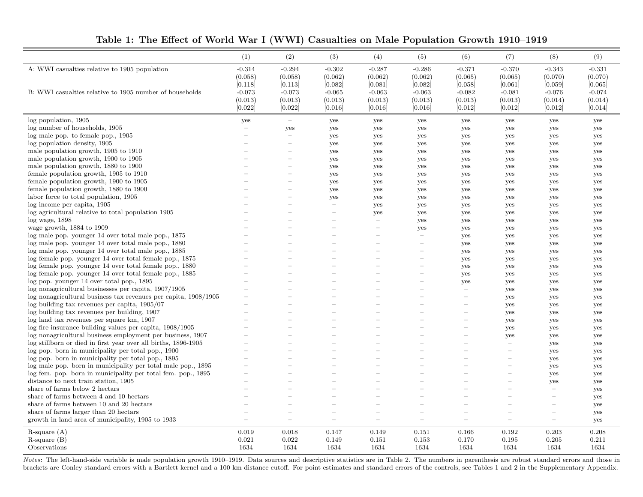|  |  | Table 1: The Effect of World War I (WWI) Casualties on Male Population Growth 1910–1919 |
|--|--|-----------------------------------------------------------------------------------------|
|--|--|-----------------------------------------------------------------------------------------|

|                                                                 | (1)      | (2)                      | (3)                      | (4)      | (5)                      | (6)                      | (7)                      | (8)                                   | (9)      |
|-----------------------------------------------------------------|----------|--------------------------|--------------------------|----------|--------------------------|--------------------------|--------------------------|---------------------------------------|----------|
| A: WWI casualties relative to 1905 population                   | $-0.314$ | $-0.294$                 | $-0.302$                 | $-0.287$ | $-0.286$                 | $-0.371$                 | $-0.370$                 | $-0.343$                              | $-0.331$ |
|                                                                 | (0.058)  | (0.058)                  | (0.062)                  | (0.062)  | (0.062)                  | (0.065)                  | (0.065)                  | (0.070)                               | (0.070)  |
|                                                                 | [0.118]  | [0.113]                  | [0.082]                  | [0.081]  | [0.082]                  | [0.058]                  | [0.061]                  | [0.059]                               | [0.065]  |
| B: WWI casualties relative to 1905 number of households         | $-0.073$ | $-0.073$                 | $-0.065$                 | $-0.063$ | $-0.063$                 | $-0.082$                 | $-0.081$                 | $-0.076$                              | $-0.074$ |
|                                                                 | (0.013)  | (0.013)                  | (0.013)                  | (0.013)  | (0.013)                  | (0.013)                  | (0.013)                  | (0.014)                               | (0.014)  |
|                                                                 | [0.022]  | [0.022]                  | [0.016]                  | [0.016]  | [0.016]                  | [0.012]                  | [0.012]                  | [0.012]                               | [0.014]  |
| log population, 1905                                            | yes      | $\equiv$                 | yes                      | yes      | yes                      | yes                      | yes                      | yes                                   | yes      |
| log number of households, 1905                                  |          | yes                      | yes                      | yes      | yes                      | yes                      | yes                      | yes                                   | yes      |
| log male pop. to female pop., 1905                              |          | $\overline{\phantom{0}}$ | yes                      | yes      | yes                      | yes                      | yes                      | yes                                   | yes      |
| log population density, 1905                                    |          |                          | yes                      | yes      | yes                      | yes                      | yes                      | yes                                   | yes      |
| male population growth, 1905 to 1910                            |          | L.                       | yes                      | yes      | yes                      | yes                      | yes                      | yes                                   | yes      |
| male population growth, 1900 to 1905                            |          | $\overline{\phantom{0}}$ | yes                      | yes      | yes                      | yes                      | yes                      | yes                                   | yes      |
| male population growth, 1880 to 1900                            |          |                          | yes                      | yes      | yes                      | yes                      | yes                      | yes                                   | yes      |
| female population growth, 1905 to 1910                          |          |                          | yes                      | yes      | yes                      | yes                      | yes                      | yes                                   | yes      |
| female population growth, 1900 to 1905                          |          |                          | yes                      | yes      | yes                      | yes                      | yes                      | yes                                   | yes      |
| female population growth, 1880 to 1900                          |          |                          | yes                      | yes      | yes                      | yes                      | yes                      | yes                                   | yes      |
| labor force to total population, 1905                           |          |                          | yes                      | yes      | yes                      | yes                      | yes                      | yes                                   | yes      |
| log income per capita, 1905                                     |          |                          | $\sim$                   | yes      | yes                      | yes                      | yes                      | yes                                   | yes      |
| log agricultural relative to total population 1905              |          |                          | $\overline{\phantom{0}}$ | yes      | yes                      | yes                      | yes                      | yes                                   | yes      |
| $log$ wage, $1898$                                              |          |                          |                          |          | yes                      | yes                      | yes                      | yes                                   | yes      |
| wage growth, 1884 to 1909                                       |          |                          |                          |          | yes                      | yes                      | yes                      | yes                                   | yes      |
| log male pop. younger 14 over total male pop., 1875             |          |                          |                          |          | $\overline{\phantom{m}}$ | yes                      | yes                      | yes                                   | yes      |
| log male pop. younger 14 over total male pop., 1880             |          |                          |                          |          |                          | yes                      | yes                      | yes                                   | yes      |
| log male pop. younger 14 over total male pop., 1885             |          |                          |                          |          |                          | yes                      | yes                      | yes                                   | yes      |
| log female pop. younger 14 over total female pop., 1875         |          |                          |                          |          | $\sim$                   | yes                      | yes                      | yes                                   | yes      |
| log female pop. younger 14 over total female pop., 1880         |          |                          |                          |          |                          | yes                      | yes                      | yes                                   | yes      |
| log female pop. younger 14 over total female pop., 1885         |          |                          |                          |          |                          | yes                      | yes                      | yes                                   | yes      |
| log pop. younger 14 over total pop., 1895                       |          |                          |                          |          |                          | yes                      | yes                      | yes                                   | yes      |
| log nonagricultural businesses per capita, 1907/1905            |          |                          |                          |          |                          | $\equiv$                 | yes                      | yes                                   | yes      |
| log nonagricultural business tax revenues per capita, 1908/1905 |          |                          |                          |          |                          |                          | yes                      | yes                                   | yes      |
| log building tax revenues per capita, 1905/07                   |          |                          |                          |          |                          |                          | yes                      | yes                                   | yes      |
| log building tax revenues per building, 1907                    |          |                          |                          |          |                          | $\overline{\phantom{a}}$ | yes                      | yes                                   | yes      |
| log land tax revenues per square km, 1907                       |          |                          |                          |          |                          | $\overline{\phantom{0}}$ | yes                      | yes                                   | yes      |
| log fire insurance building values per capita, 1908/1905        |          |                          |                          |          |                          |                          | yes                      | yes                                   | yes      |
| log nonagricultural business employment per business, 1907      |          |                          |                          |          |                          |                          | yes                      | yes                                   | yes      |
| log stillborn or died in first year over all births, 1896-1905  |          |                          |                          |          |                          | $\overline{\phantom{a}}$ | $\overline{\phantom{0}}$ | yes                                   | yes      |
| log pop. born in municipality per total pop., 1900              |          |                          |                          |          |                          |                          |                          | yes                                   | yes      |
| log pop. born in municipality per total pop., 1895              |          |                          |                          |          |                          |                          |                          | yes                                   | yes      |
| log male pop. born in municipality per total male pop., 1895    |          |                          |                          |          |                          |                          | $\overline{\phantom{a}}$ | yes                                   | yes      |
| log fem. pop. born in municipality per total fem. pop., 1895    |          |                          |                          |          |                          |                          | $\overline{\phantom{a}}$ | yes                                   | yes      |
| distance to next train station, 1905                            |          |                          |                          |          |                          |                          |                          | yes                                   | yes      |
| share of farms below 2 hectars                                  |          |                          |                          |          |                          |                          |                          | $\overline{\phantom{a}}$              | yes      |
| share of farms between 4 and 10 hectars                         |          |                          |                          |          |                          |                          |                          | $\hspace{1.0cm} \rule{1.5cm}{0.15cm}$ | yes      |
| share of farms between 10 and 20 hectars                        |          |                          |                          |          |                          |                          |                          |                                       | yes      |
| share of farms larger than 20 hectars                           |          |                          |                          |          |                          |                          |                          |                                       | yes      |
| growth in land area of municipality, 1905 to 1933               |          | ÷                        | $\sim$                   |          |                          | ÷                        | $\overline{\phantom{a}}$ | $\overline{\phantom{a}}$              | yes      |
| $R$ -square $(A)$                                               | 0.019    | 0.018                    | 0.147                    | 0.149    | 0.151                    | 0.166                    | 0.192                    | 0.203                                 | 0.208    |
| $R$ -square $(B)$                                               | 0.021    | 0.022                    | 0.149                    | 0.151    | 0.153                    | 0.170                    | 0.195                    | 0.205                                 | 0.211    |
| Observations                                                    | 1634     | 1634                     | 1634                     | 1634     | 1634                     | 1634                     | 1634                     | 1634                                  | 1634     |

Notes: The left-hand-side variable is male population growth 1910–1919. Data sources and descriptive statistics are in Table 2. The numbers in parenthesis are robust standard errors and those inbrackets are Conley standard errors with <sup>a</sup> Bartlett kernel and <sup>a</sup> 100 km distance cutoff. For point estimates and standard errors of the controls, see Tables 1 and 2 in the Supplementary Appendix.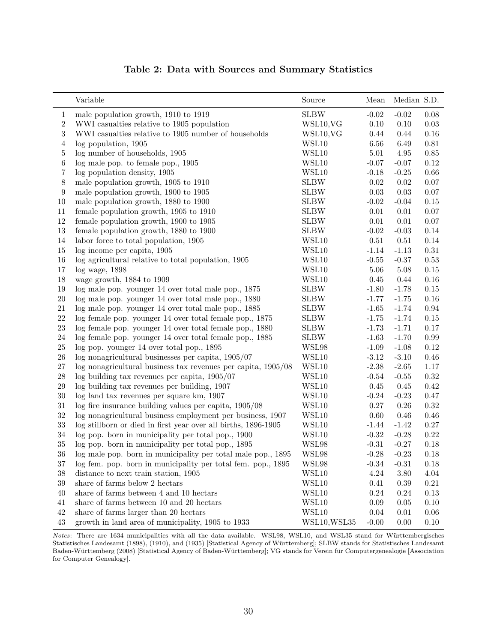|  |  |  |  |  | Table 2: Data with Sources and Summary Statistics |  |
|--|--|--|--|--|---------------------------------------------------|--|
|--|--|--|--|--|---------------------------------------------------|--|

|                  | Variable                                                         | Source       | Mean     | Median S.D. |          |
|------------------|------------------------------------------------------------------|--------------|----------|-------------|----------|
| $\mathbf{1}$     | male population growth, 1910 to 1919                             | <b>SLBW</b>  | $-0.02$  | $-0.02$     | 0.08     |
| $\boldsymbol{2}$ | WWI casualties relative to 1905 population                       | WSL10, VG    | 0.10     | 0.10        | 0.03     |
| 3                | WWI casualties relative to 1905 number of households             | WSL10, VG    | 0.44     | 0.44        | 0.16     |
| 4                | log population, 1905                                             | WSL10        | 6.56     | 6.49        | 0.81     |
| $\mathbf 5$      | log number of households, 1905                                   | WSL10        | 5.01     | 4.95        | $0.85\,$ |
| 6                | log male pop. to female pop., 1905                               | WSL10        | $-0.07$  | $-0.07$     | 0.12     |
| 7                | log population density, 1905                                     | WSL10        | $-0.18$  | $-0.25$     | 0.66     |
| $8\,$            | male population growth, 1905 to 1910                             | <b>SLBW</b>  | 0.02     | 0.02        | 0.07     |
| $9\,$            | male population growth, 1900 to 1905                             | <b>SLBW</b>  | 0.03     | 0.03        | 0.07     |
| 10               | male population growth, 1880 to 1900                             | <b>SLBW</b>  | $-0.02$  | $-0.04$     | 0.15     |
| 11               | female population growth, 1905 to 1910                           | <b>SLBW</b>  | 0.01     | 0.01        | $0.07\,$ |
| $12\,$           | female population growth, 1900 to 1905                           | <b>SLBW</b>  | 0.01     | 0.01        | $0.07\,$ |
| $13\,$           | female population growth, 1880 to 1900                           | <b>SLBW</b>  | $-0.02$  | $-0.03$     | 0.14     |
| $14\,$           | labor force to total population, 1905                            | WSL10        | $0.51\,$ | 0.51        | 0.14     |
| 15               | log income per capita, 1905                                      | WSL10        | $-1.14$  | $-1.13$     | 0.31     |
| $16\,$           | log agricultural relative to total population, 1905              | WSL10        | $-0.55$  | $-0.37$     | 0.53     |
| $17\,$           | $log$ wage, $1898$                                               | WSL10        | 5.06     | 5.08        | $0.15\,$ |
| 18               | wage growth, 1884 to 1909                                        | WSL10        | 0.45     | 0.44        | 0.16     |
| 19               | log male pop. younger 14 over total male pop., 1875              | <b>SLBW</b>  | $-1.80$  | $-1.78$     | 0.15     |
| $20\,$           | log male pop. younger 14 over total male pop., 1880              | <b>SLBW</b>  | $-1.77$  | $-1.75$     | 0.16     |
| $21\,$           | log male pop. younger 14 over total male pop., 1885              | <b>SLBW</b>  | $-1.65$  | $-1.74$     | 0.94     |
| $22\,$           | log female pop. younger 14 over total female pop., 1875          | <b>SLBW</b>  | $-1.75$  | $-1.74$     | 0.15     |
| $23\,$           | log female pop. younger 14 over total female pop., 1880          | <b>SLBW</b>  | $-1.73$  | $-1.71$     | 0.17     |
| $24\,$           | log female pop. younger 14 over total female pop., 1885          | <b>SLBW</b>  | $-1.63$  | $-1.70$     | 0.99     |
| $25\,$           | log pop. younger 14 over total pop., 1895                        | WSL98        | $-1.09$  | $-1.08$     | 0.12     |
| $26\,$           | log nonagricultural businesses per capita, 1905/07               | WSL10        | $-3.12$  | $-3.10$     | 0.46     |
| $27\,$           | $\log$ nonagricultural business tax revenues per capita, 1905/08 | WSL10        | $-2.38$  | $-2.65$     | 1.17     |
| $28\,$           | $log$ building tax revenues per capita, $1905/07$                | WSL10        | $-0.54$  | $-0.55$     | 0.32     |
| $29\,$           | log building tax revenues per building, 1907                     | WSL10        | 0.45     | 0.45        | 0.42     |
| $30\,$           | log land tax revenues per square km, 1907                        | WSL10        | $-0.24$  | $-0.23$     | 0.47     |
| $31\,$           | $\log$ fire insurance building values per capita, 1905/08        | WSL10        | 0.27     | 0.26        | 0.32     |
| $32\,$           | log nonagricultural business employment per business, 1907       | WSL10        | 0.60     | 0.46        | 0.46     |
| 33               | log stillborn or died in first year over all births, 1896-1905   | WSL10        | $-1.44$  | $-1.42$     | 0.27     |
| $34\,$           | log pop. born in municipality per total pop., 1900               | WSL10        | $-0.32$  | $-0.28$     | 0.22     |
| $35\,$           | log pop. born in municipality per total pop., 1895               | WSL98        | $-0.31$  | $-0.27$     | 0.18     |
| $36\,$           | log male pop. born in municipality per total male pop., 1895     | WSL98        | $-0.28$  | $-0.23$     | 0.18     |
| 37               | log fem. pop. born in municipality per total fem. pop., 1895     | WSL98        | $-0.34$  | $-0.31$     | 0.18     |
| 38               | distance to next train station, 1905                             | WSL10        | 4.24     | 3.80        | 4.04     |
| $39\,$           | share of farms below 2 hectars                                   | WSL10        | 0.41     | 0.39        | 0.21     |
| 40               | share of farms between 4 and 10 hectars                          | WSL10        | 0.24     | 0.24        | 0.13     |
| 41               | share of farms between 10 and 20 hectars                         | WSL10        | 0.09     | 0.05        | 0.10     |
| 42               | share of farms larger than 20 hectars                            | WSL10        | 0.04     | 0.01        | 0.06     |
| $43\,$           | growth in land area of municipality, 1905 to 1933                | WSL10, WSL35 | $-0.00$  | 0.00        | 0.10     |

Notes: There are 1634 municipalities with all the data available. WSL98, WSL10, and WSL35 stand for Württembergisches Statistisches Landesamt (1898), (1910), and (1935) [Statistical Agency of Württemberg]; SLBW stands for Statistisches Landesamt Baden-Württemberg (2008) [Statistical Agency of Baden-Württemberg]; VG stands for Verein für Computergenealogie [Association for Computer Genealogy].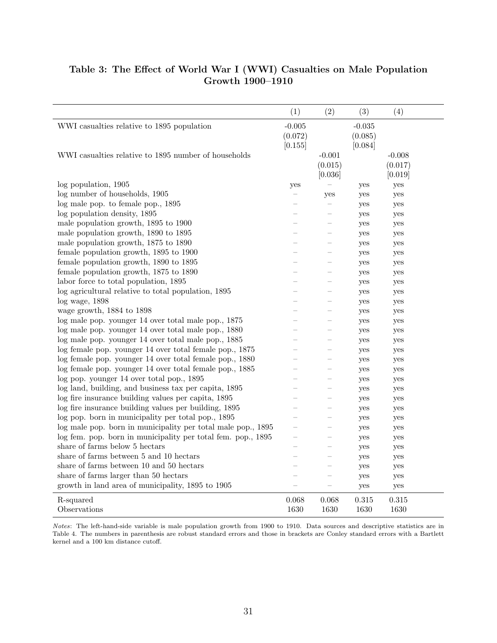# Table 3: The Effect of World War I (WWI) Casualties on Male Population Growth 1900–1910

|                                                              | (1)                            | (2)                            | (3)                            | (4)                            |
|--------------------------------------------------------------|--------------------------------|--------------------------------|--------------------------------|--------------------------------|
| WWI casualties relative to 1895 population                   | $-0.005$<br>(0.072)<br>[0.155] |                                | $-0.035$<br>(0.085)<br>[0.084] |                                |
| WWI casualties relative to 1895 number of households         |                                | $-0.001$<br>(0.015)<br>[0.036] |                                | $-0.008$<br>(0.017)<br>[0.019] |
| log population, 1905                                         | yes                            |                                | yes                            | yes                            |
| log number of households, 1905                               |                                | yes                            | yes                            | yes                            |
| log male pop. to female pop., 1895                           |                                |                                | yes                            | yes                            |
| log population density, 1895                                 |                                |                                | yes                            | yes                            |
| male population growth, 1895 to 1900                         |                                |                                | yes                            | yes                            |
| male population growth, 1890 to 1895                         |                                |                                | yes                            | yes                            |
| male population growth, 1875 to 1890                         |                                |                                | yes                            | yes                            |
| female population growth, 1895 to 1900                       |                                |                                | yes                            | yes                            |
| female population growth, 1890 to 1895                       |                                |                                | yes                            | yes                            |
| female population growth, 1875 to 1890                       |                                |                                | yes                            | yes                            |
| labor force to total population, 1895                        |                                |                                | yes                            | yes                            |
| log agricultural relative to total population, 1895          |                                |                                | yes                            | yes                            |
| $log$ wage, $1898$                                           |                                |                                | yes                            | yes                            |
| wage growth, 1884 to 1898                                    |                                |                                | yes                            | yes                            |
| log male pop. younger 14 over total male pop., 1875          |                                |                                | yes                            | yes                            |
| log male pop. younger 14 over total male pop., 1880          |                                |                                | yes                            | yes                            |
| log male pop. younger 14 over total male pop., 1885          |                                |                                | yes                            | yes                            |
| log female pop. younger 14 over total female pop., 1875      |                                |                                | yes                            | yes                            |
| log female pop. younger 14 over total female pop., 1880      |                                |                                | yes                            | yes                            |
| log female pop. younger 14 over total female pop., 1885      |                                |                                | yes                            | yes                            |
| log pop. younger 14 over total pop., 1895                    |                                |                                | yes                            | yes                            |
| log land, building, and business tax per capita, 1895        |                                |                                | yes                            | yes                            |
| log fire insurance building values per capita, 1895          |                                |                                | yes                            | yes                            |
| log fire insurance building values per building, 1895        |                                |                                | yes                            | yes                            |
| log pop. born in municipality per total pop., 1895           |                                |                                | yes                            | yes                            |
| log male pop. born in municipality per total male pop., 1895 |                                |                                | yes                            | yes                            |
| log fem. pop. born in municipality per total fem. pop., 1895 |                                |                                | yes                            | yes                            |
| share of farms below 5 hectars                               |                                |                                | yes                            | yes                            |
| share of farms between 5 and 10 hectars                      |                                |                                | yes                            | yes                            |
| share of farms between 10 and 50 hectars                     |                                |                                | yes                            | yes                            |
| share of farms larger than 50 hectars                        |                                |                                | yes                            | yes                            |
| growth in land area of municipality, 1895 to 1905            |                                |                                | yes                            | yes                            |
| R-squared<br>Observations                                    | 0.068<br>1630                  | 0.068<br>1630                  | 0.315<br>1630                  | 0.315<br>1630                  |

Notes: The left-hand-side variable is male population growth from 1900 to 1910. Data sources and descriptive statistics are in Table 4. The numbers in parenthesis are robust standard errors and those in brackets are Conley standard errors with a Bartlett kernel and a 100 km distance cutoff.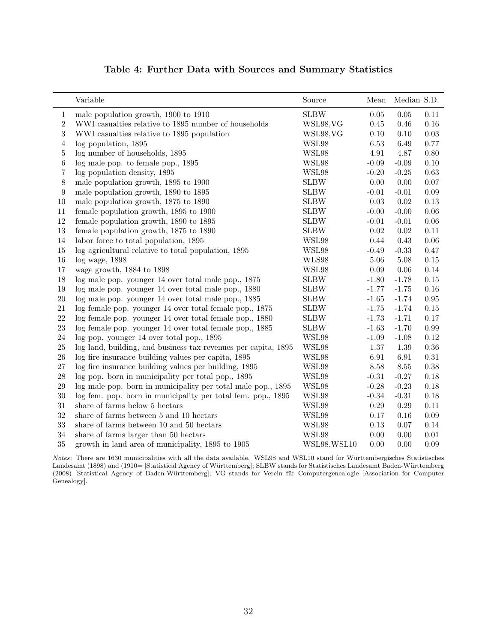|                | Variable                                                       | Source       | Mean     | Median S.D. |          |
|----------------|----------------------------------------------------------------|--------------|----------|-------------|----------|
| $\mathbf 1$    | male population growth, 1900 to 1910                           | <b>SLBW</b>  | 0.05     | 0.05        | 0.11     |
| $\overline{2}$ | WWI casualties relative to 1895 number of households           | WSL98, VG    | 0.45     | 0.46        | 0.16     |
| $\overline{3}$ | WWI casualties relative to 1895 population                     | WSL98, VG    | 0.10     | 0.10        | $0.03\,$ |
| 4              | log population, 1895                                           | WSL98        | 6.53     | 6.49        | 0.77     |
| $\bf 5$        | log number of households, 1895                                 | WSL98        | 4.91     | 4.87        | 0.80     |
| 6              | log male pop. to female pop., 1895                             | WSL98        | $-0.09$  | $-0.09$     | $0.10\,$ |
| 7              | log population density, 1895                                   | WSL98        | $-0.20$  | $-0.25$     | $0.63\,$ |
| 8              | male population growth, 1895 to 1900                           | <b>SLBW</b>  | 0.00     | 0.00        | $0.07\,$ |
| 9              | male population growth, 1890 to 1895                           | <b>SLBW</b>  | $-0.01$  | $-0.01$     | $0.09\,$ |
| 10             | male population growth, 1875 to 1890                           | <b>SLBW</b>  | 0.03     | 0.02        | $0.13\,$ |
| 11             | female population growth, 1895 to 1900                         | <b>SLBW</b>  | $-0.00$  | $-0.00$     | $0.06\,$ |
| 12             | female population growth, 1890 to 1895                         | <b>SLBW</b>  | $-0.01$  | $-0.01$     | $0.06\,$ |
| 13             | female population growth, 1875 to 1890                         | <b>SLBW</b>  | $0.02\,$ | $0.02\,$    | $0.11\,$ |
| 14             | labor force to total population, 1895                          | WSL98        | 0.44     | 0.43        | $0.06\,$ |
| 15             | log agricultural relative to total population, 1895            | WSL98        | $-0.49$  | $-0.33$     | $0.47\,$ |
| 16             | $log$ wage, $1898$                                             | WLS98        | 5.06     | 5.08        | $0.15\,$ |
| 17             | wage growth, 1884 to 1898                                      | WSL98        | 0.09     | 0.06        | 0.14     |
| 18             | log male pop. younger 14 over total male pop., 1875            | <b>SLBW</b>  | $-1.80$  | $-1.78$     | $0.15\,$ |
| 19             | log male pop. younger 14 over total male pop., 1880            | <b>SLBW</b>  | $-1.77$  | $-1.75$     | $0.16\,$ |
| 20             | log male pop. younger 14 over total male pop., 1885            | <b>SLBW</b>  | $-1.65$  | $-1.74$     | $0.95\,$ |
| 21             | log female pop. younger 14 over total female pop., 1875        | <b>SLBW</b>  | $-1.75$  | $-1.74$     | $0.15\,$ |
| 22             | log female pop. younger 14 over total female pop., 1880        | <b>SLBW</b>  | $-1.73$  | $-1.71$     | $0.17\,$ |
| 23             | log female pop. younger 14 over total female pop., 1885        | <b>SLBW</b>  | $-1.63$  | $-1.70$     | $0.99\,$ |
| 24             | log pop. younger 14 over total pop., 1895                      | WSL98        | $-1.09$  | $-1.08$     | 0.12     |
| 25             | log land, building, and business tax revenues per capita, 1895 | WSL98        | 1.37     | 1.39        | $0.36\,$ |
| 26             | log fire insurance building values per capita, 1895            | WSL98        | 6.91     | 6.91        | 0.31     |
| 27             | log fire insurance building values per building, 1895          | WSL98        | 8.58     | 8.55        | 0.38     |
| 28             | log pop. born in municipality per total pop., 1895             | WSL98        | $-0.31$  | $-0.27$     | 0.18     |
| 29             | log male pop. born in municipality per total male pop., 1895   | WSL98        | $-0.28$  | $-0.23$     | 0.18     |
| 30             | log fem. pop. born in municipality per total fem. pop., 1895   | WSL98        | $-0.34$  | $-0.31$     | 0.18     |
| 31             | share of farms below 5 hectars                                 | WSL98        | 0.29     | 0.29        | $0.11\,$ |
| 32             | share of farms between 5 and 10 hectars                        | WSL98        | 0.17     | 0.16        | $0.09\,$ |
| 33             | share of farms between 10 and 50 hectars                       | WSL98        | $0.13\,$ | 0.07        | $0.14\,$ |
| 34             | share of farms larger than 50 hectars                          | WSL98        | 0.00     | 0.00        | $0.01\,$ |
| 35             | growth in land area of municipality, 1895 to 1905              | WSL98, WSL10 | 0.00     | 0.00        | 0.09     |

# Table 4: Further Data with Sources and Summary Statistics

Notes: There are 1630 municipalities with all the data available. WSL98 and WSL10 stand for Württembergisches Statistisches Landesamt (1898) and (1910= [Statistical Agency of Württemberg]; SLBW stands for Statistisches Landesamt Baden-Württemberg (2008) [Statistical Agency of Baden-Württemberg]; VG stands for Verein für Computergenealogie [Association for Computer Genealogy].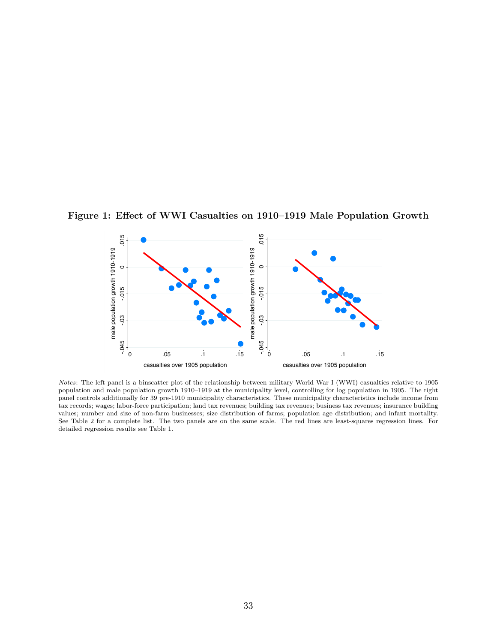

Figure 1: Effect of WWI Casualties on 1910–1919 Male Population Growth

Notes: The left panel is a binscatter plot of the relationship between military World War I (WWI) casualties relative to 1905 population and male population growth 1910–1919 at the municipality level, controlling for log population in 1905. The right panel controls additionally for 39 pre-1910 municipality characteristics. These municipality characteristics include income from tax records; wages; labor-force participation; land tax revenues; building tax revenues; business tax revenues; insurance building values; number and size of non-farm businesses; size distribution of farms; population age distribution; and infant mortality. See Table 2 for a complete list. The two panels are on the same scale. The red lines are least-squares regression lines. For detailed regression results see Table 1.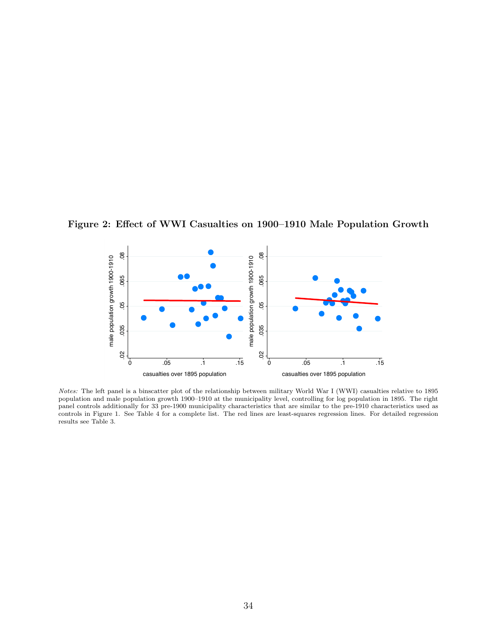Figure 2: Effect of WWI Casualties on 1900–1910 Male Population Growth



Notes: The left panel is a binscatter plot of the relationship between military World War I (WWI) casualties relative to 1895 population and male population growth 1900–1910 at the municipality level, controlling for log population in 1895. The right panel controls additionally for 33 pre-1900 municipality characteristics that are similar to the pre-1910 characteristics used as controls in Figure 1. See Table 4 for a complete list. The red lines are least-squares regression lines. For detailed regression results see Table 3.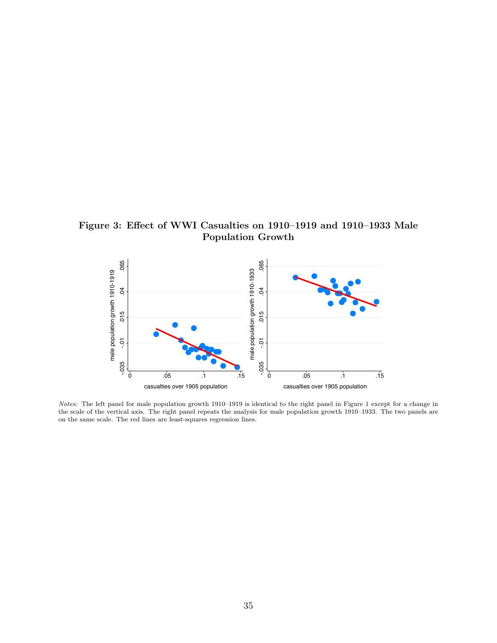Figure 3: Effect of WWI Casualties on 1910–1919 and 1910–1933 Male Population Growth



Notes: The left panel for male population growth 1910–1919 is identical to the right panel in Figure 1 except for a change in the scale of the vertical axis. The right panel repeats the analysis for male population growth 1910–1933. The two panels are on the same scale. The red lines are least-squares regression lines.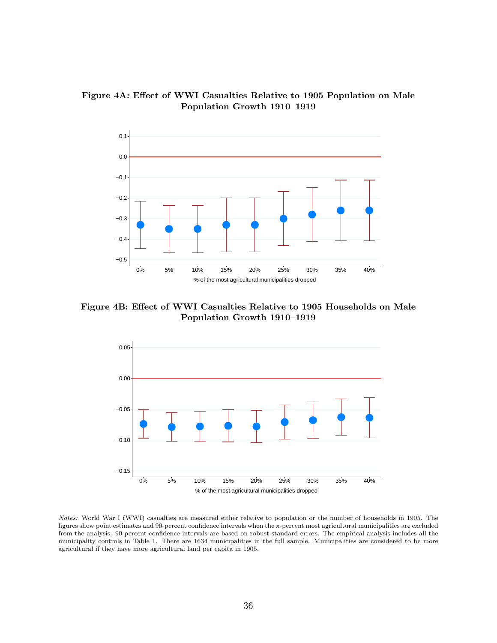



Figure 4B: Effect of WWI Casualties Relative to 1905 Households on Male Population Growth 1910–1919



Notes: World War I (WWI) casualties are measured either relative to population or the number of households in 1905. The figures show point estimates and 90-percent confidence intervals when the x-percent most agricultural municipalities are excluded from the analysis. 90-percent confidence intervals are based on robust standard errors. The empirical analysis includes all the municipality controls in Table 1. There are 1634 municipalities in the full sample. Municipalities are considered to be more agricultural if they have more agricultural land per capita in 1905.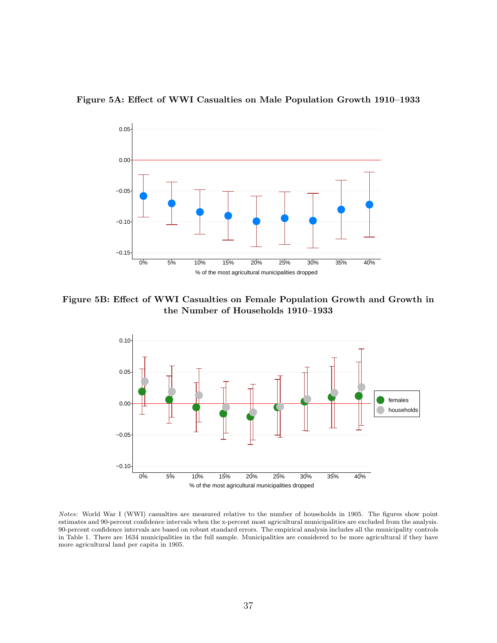



Figure 5B: Effect of WWI Casualties on Female Population Growth and Growth in the Number of Households 1910–1933



Notes: World War I (WWI) casualties are measured relative to the number of households in 1905. The figures show point estimates and 90-percent confidence intervals when the x-percent most agricultural municipalities are excluded from the analysis. 90-percent confidence intervals are based on robust standard errors. The empirical analysis includes all the municipality controls in Table 1. There are 1634 municipalities in the full sample. Municipalities are considered to be more agricultural if they have more agricultural land per capita in 1905.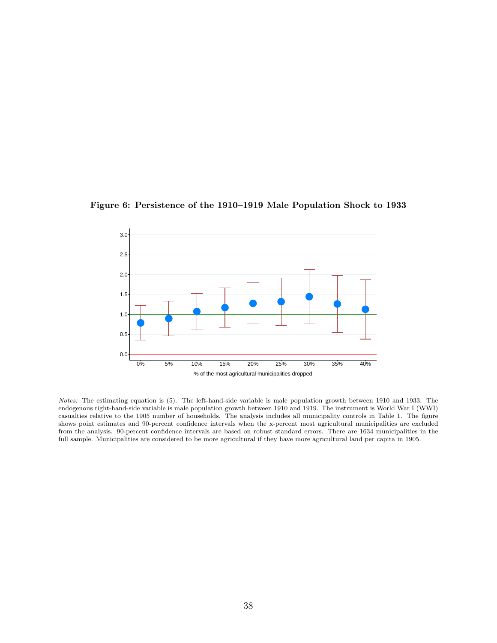

Figure 6: Persistence of the 1910–1919 Male Population Shock to 1933

Notes: The estimating equation is (5). The left-hand-side variable is male population growth between 1910 and 1933. The endogenous right-hand-side variable is male population growth between 1910 and 1919. The instrument is World War I (WWI) casualties relative to the 1905 number of households. The analysis includes all municipality controls in Table 1. The figure shows point estimates and 90-percent confidence intervals when the x-percent most agricultural municipalities are excluded from the analysis. 90-percent confidence intervals are based on robust standard errors. There are 1634 municipalities in the full sample. Municipalities are considered to be more agricultural if they have more agricultural land per capita in 1905.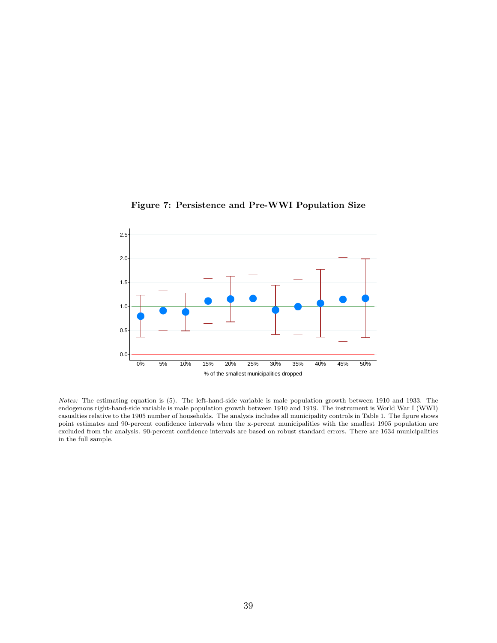

Figure 7: Persistence and Pre-WWI Population Size

Notes: The estimating equation is (5). The left-hand-side variable is male population growth between 1910 and 1933. The endogenous right-hand-side variable is male population growth between 1910 and 1919. The instrument is World War I (WWI) casualties relative to the 1905 number of households. The analysis includes all municipality controls in Table 1. The figure shows point estimates and 90-percent confidence intervals when the x-percent municipalities with the smallest 1905 population are excluded from the analysis. 90-percent confidence intervals are based on robust standard errors. There are 1634 municipalities in the full sample.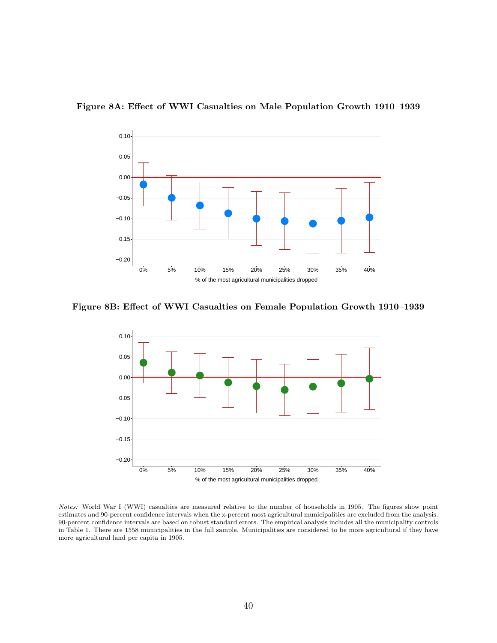

Figure 8A: Effect of WWI Casualties on Male Population Growth 1910–1939

Figure 8B: Effect of WWI Casualties on Female Population Growth 1910–1939



Notes: World War I (WWI) casualties are measured relative to the number of households in 1905. The figures show point estimates and 90-percent confidence intervals when the x-percent most agricultural municipalities are excluded from the analysis. 90-percent confidence intervals are based on robust standard errors. The empirical analysis includes all the municipality controls in Table 1. There are 1558 municipalities in the full sample. Municipalities are considered to be more agricultural if they have more agricultural land per capita in 1905.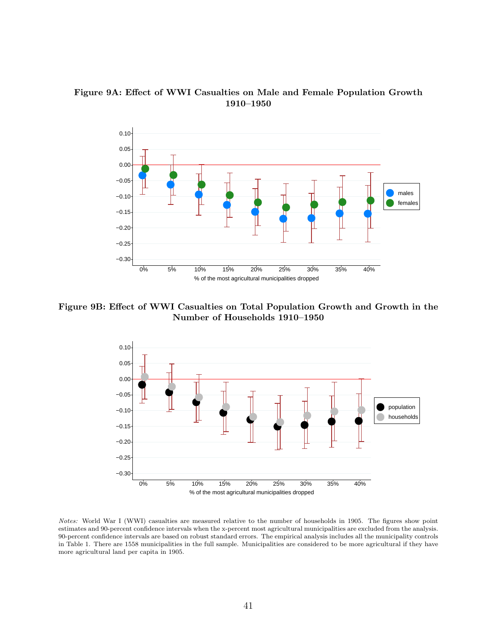



Figure 9B: Effect of WWI Casualties on Total Population Growth and Growth in the Number of Households 1910–1950



Notes: World War I (WWI) casualties are measured relative to the number of households in 1905. The figures show point estimates and 90-percent confidence intervals when the x-percent most agricultural municipalities are excluded from the analysis. 90-percent confidence intervals are based on robust standard errors. The empirical analysis includes all the municipality controls in Table 1. There are 1558 municipalities in the full sample. Municipalities are considered to be more agricultural if they have more agricultural land per capita in 1905.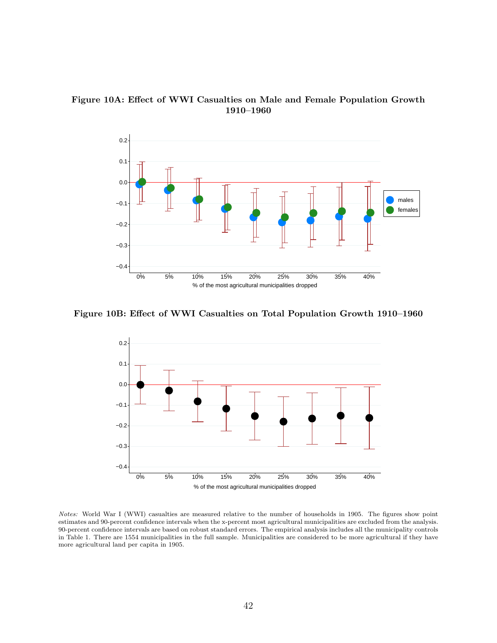Figure 10A: Effect of WWI Casualties on Male and Female Population Growth 1910–1960



Figure 10B: Effect of WWI Casualties on Total Population Growth 1910–1960



Notes: World War I (WWI) casualties are measured relative to the number of households in 1905. The figures show point estimates and 90-percent confidence intervals when the x-percent most agricultural municipalities are excluded from the analysis. 90-percent confidence intervals are based on robust standard errors. The empirical analysis includes all the municipality controls in Table 1. There are 1554 municipalities in the full sample. Municipalities are considered to be more agricultural if they have more agricultural land per capita in 1905.